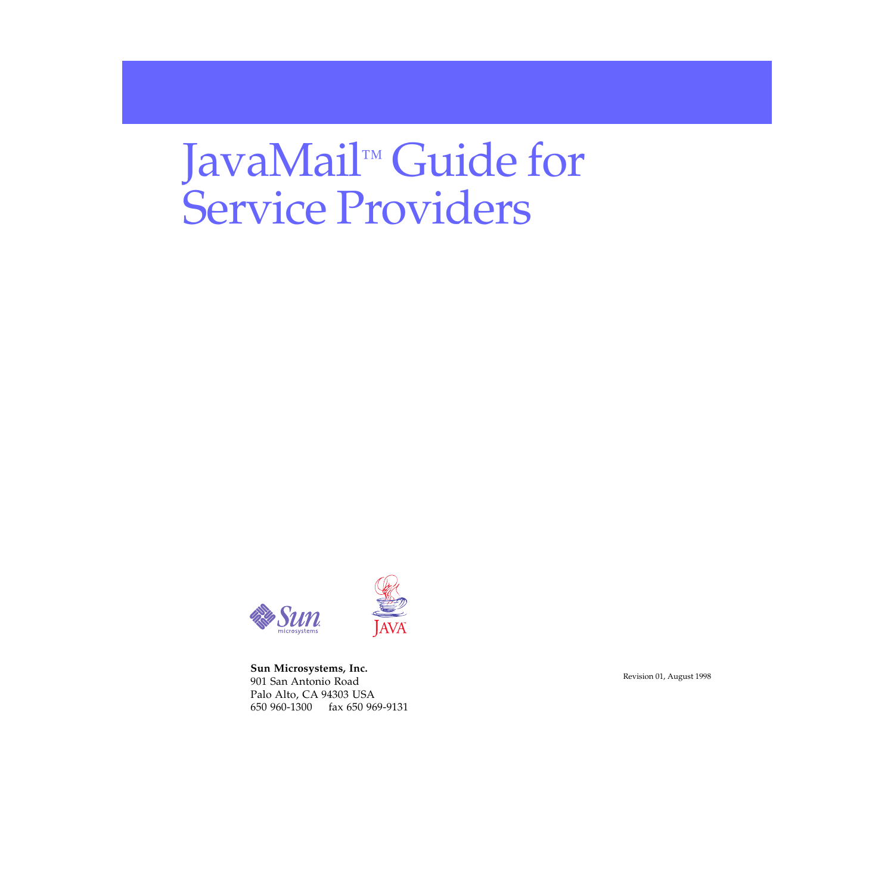# JavaMail™ Guide for Service Providers





**Sun Microsystems, Inc.** 901 San Antonio Road Palo Alto, CA 94303 USA 650 960-1300 fax 650 969-9131

Revision 01, August 1998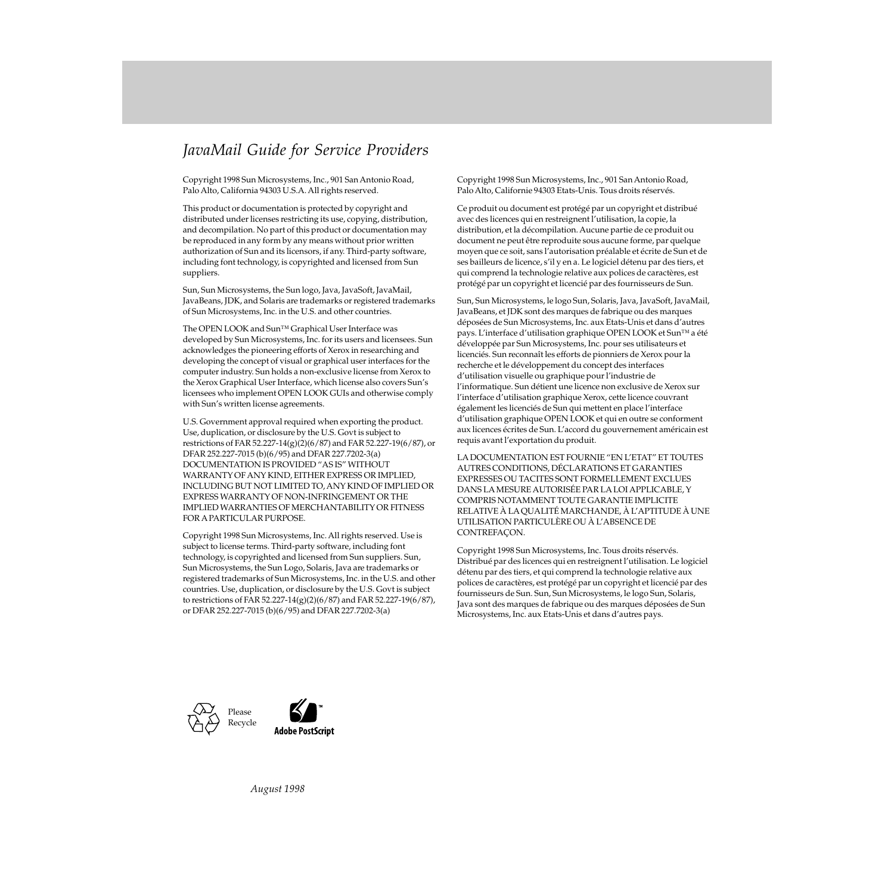# *JavaMail Guide for Service Providers*

Copyright 1998 Sun Microsystems, Inc., 901 San Antonio Road, Palo Alto, California 94303 U.S.A. All rights reserved.

This product or documentation is protected by copyright and distributed under licenses restricting its use, copying, distribution, and decompilation. No part of this product or documentation may be reproduced in any form by any means without prior written authorization of Sun and its licensors, if any. Third-party software, including font technology, is copyrighted and licensed from Sun suppliers.

Sun, Sun Microsystems, the Sun logo, Java, JavaSoft, JavaMail, JavaBeans, JDK, and Solaris are trademarks or registered trademarks of Sun Microsystems, Inc. in the U.S. and other countries.

The OPEN LOOK and Sun™ Graphical User Interface was developed by Sun Microsystems, Inc. for its users and licensees. Sun acknowledges the pioneering efforts of Xerox in researching and developing the concept of visual or graphical user interfaces for the computer industry. Sun holds a non-exclusive license from Xerox to the Xerox Graphical User Interface, which license also covers Sun's licensees who implement OPEN LOOK GUIs and otherwise comply with Sun's written license agreements.

U.S. Government approval required when exporting the product. Use, duplication, or disclosure by the U.S. Govt is subject to restrictions of FAR 52.227-14(g)(2)(6/87) and FAR 52.227-19(6/87), or DFAR 252.227-7015 (b)(6/95) and DFAR 227.7202-3(a) DOCUMENTATION IS PROVIDED "AS IS" WITHOUT WARRANTY OF ANY KIND, EITHER EXPRESS OR IMPLIED, INCLUDING BUT NOT LIMITED TO, ANY KIND OF IMPLIED OR EXPRESS WARRANTY OF NON-INFRINGEMENT OR THE IMPLIED WARRANTIES OF MERCHANTABILITY OR FITNESS FOR A PARTICULAR PURPOSE.

Copyright 1998 Sun Microsystems, Inc. All rights reserved. Use is subject to license terms. Third-party software, including font technology, is copyrighted and licensed from Sun suppliers. Sun, Sun Microsystems, the Sun Logo, Solaris, Java are trademarks or registered trademarks of Sun Microsystems, Inc. in the U.S. and other countries. Use, duplication, or disclosure by the U.S. Govt is subject to restrictions of FAR 52.227-14(g)(2)(6/87) and FAR 52.227-19(6/87), or DFAR 252.227-7015 (b)(6/95) and DFAR 227.7202-3(a)

Copyright 1998 Sun Microsystems, Inc., 901 San Antonio Road, Palo Alto, Californie 94303 Etats-Unis. Tous droits réservés.

Ce produit ou document est protégé par un copyright et distribué avec des licences qui en restreignent l'utilisation, la copie, la distribution, et la décompilation. Aucune partie de ce produit ou document ne peut être reproduite sous aucune forme, par quelque moyen que ce soit, sans l'autorisation préalable et écrite de Sun et de ses bailleurs de licence, s'il y en a. Le logiciel détenu par des tiers, et qui comprend la technologie relative aux polices de caractères, est protégé par un copyright et licencié par des fournisseurs de Sun.

Sun, Sun Microsystems, le logo Sun, Solaris, Java, JavaSoft, JavaMail, JavaBeans, et JDK sont des marques de fabrique ou des marques déposées de Sun Microsystems, Inc. aux Etats-Unis et dans d'autres pays. L'interface d'utilisation graphique OPEN LOOK et Sun™ a été développée par Sun Microsystems, Inc. pour ses utilisateurs et licenciés. Sun reconnaît les efforts de pionniers de Xerox pour la recherche et le développement du concept des interfaces d'utilisation visuelle ou graphique pour l'industrie de l'informatique. Sun détient une licence non exclusive de Xerox sur l'interface d'utilisation graphique Xerox, cette licence couvrant également les licenciés de Sun qui mettent en place l'interface d'utilisation graphique OPEN LOOK et qui en outre se conforment aux licences écrites de Sun. L'accord du gouvernement américain est requis avant l'exportation du produit.

LA DOCUMENTATION EST FOURNIE "EN L'ETAT" ET TOUTES AUTRES CONDITIONS, DÉCLARATIONS ET GARANTIES EXPRESSES OU TACITES SONT FORMELLEMENT EXCLUES DANS LA MESURE AUTORISÉE PAR LA LOI APPLICABLE, Y COMPRIS NOTAMMENT TOUTE GARANTIE IMPLICITE RELATIVE À LA QUALITÉ MARCHANDE, À L'APTITUDE À UNE UTILISATION PARTICULÈRE OU À L'ABSENCE DE CONTREFACON.

Copyright 1998 Sun Microsystems, Inc. Tous droits réservés. Distribué par des licences qui en restreignent l'utilisation. Le logiciel détenu par des tiers, et qui comprend la technologie relative aux polices de caractères, est protégé par un copyright et licencié par des fournisseurs de Sun. Sun, Sun Microsystems, le logo Sun, Solaris, Java sont des marques de fabrique ou des marques déposées de Sun Microsystems, Inc. aux Etats-Unis et dans d'autres pays.



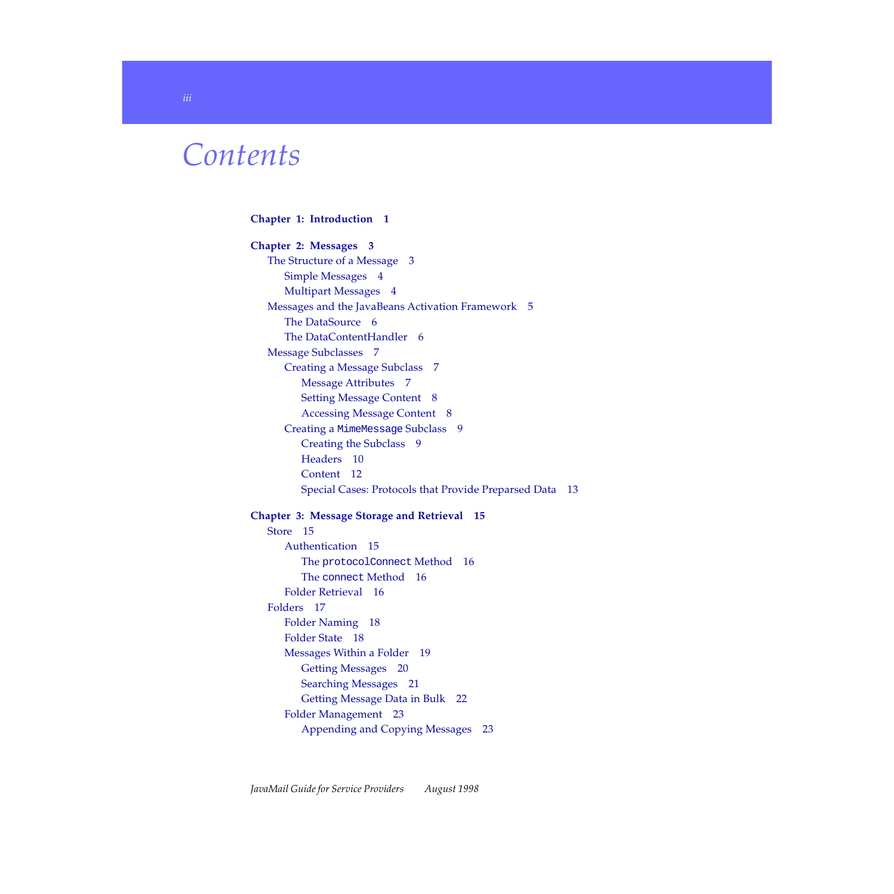# *Contents*

#### **[Chapter 1: Introduction 1](#page-4-0)**

**[Chapter 2: Messages 3](#page-6-0)** [The Structure of a Message 3](#page-6-0) [Simple Messages 4](#page-7-0) [Multipart Messages 4](#page-7-0) [Messages and the JavaBeans Activation Framework 5](#page-8-0) [The DataSource 6](#page-9-0) [The DataContentHandler 6](#page-9-0) [Message Subclasses 7](#page-10-0) [Creating a Message Subclass 7](#page-10-0) [Message Attributes 7](#page-10-0) [Setting Message Content 8](#page-11-0) [Accessing Message Content 8](#page-11-0) [Creating a](#page-12-0) MimeMessage Subclass 9 [Creating the Subclass 9](#page-12-0) [Headers 10](#page-13-0) [Content 12](#page-15-0) [Special Cases: Protocols that Provide Preparsed Data 13](#page-16-0)

#### **[Chapter 3: Message Storage and Retrieval 15](#page-18-0)** [Store 15](#page-18-0) [Authentication 15](#page-18-0) [The](#page-19-0) protocolConnect Method 16 [The](#page-19-0) connect Method 16 [Folder Retrieval 16](#page-19-0) [Folders 17](#page-20-0) [Folder Naming 18](#page-21-0) [Folder State 18](#page-21-0) [Messages Within a Folder 19](#page-22-0) [Getting Messages 20](#page-23-0) [Searching Messages 21](#page-24-0) [Getting Message Data in Bulk 22](#page-25-0) [Folder Management 23](#page-26-0) [Appending and Copying Messages 23](#page-26-0)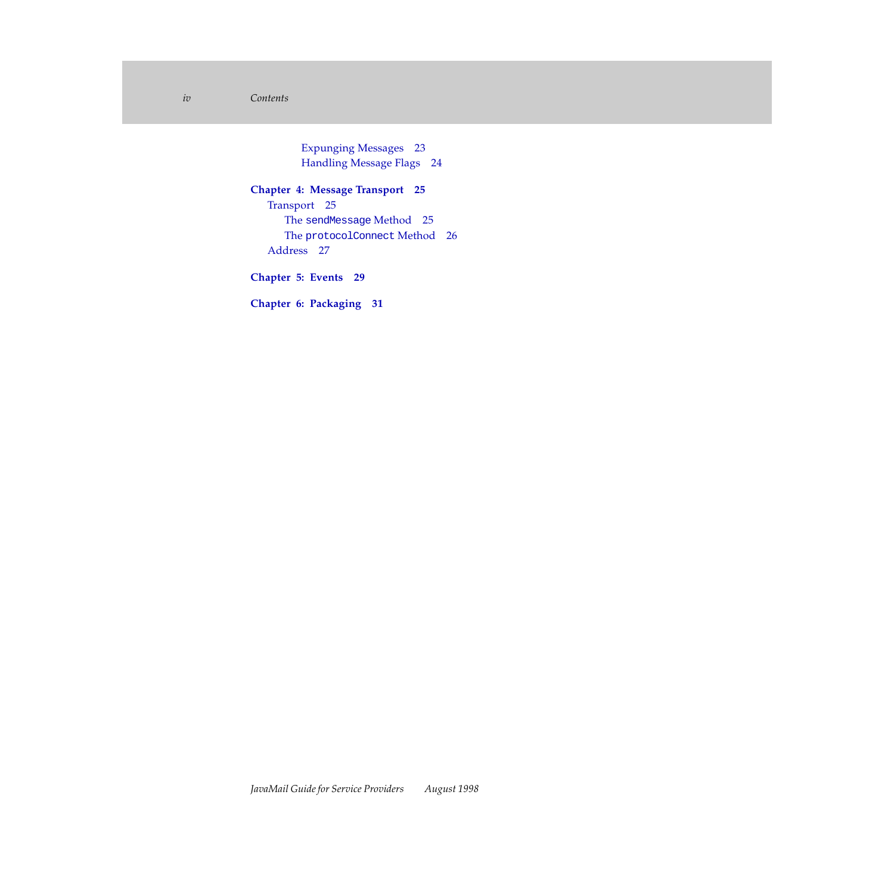[Expunging Messages 23](#page-26-0) [Handling Message Flags 24](#page-27-0)

#### **[Chapter 4: Message Transport 25](#page-28-0)**

[Transport 25](#page-28-0) [The](#page-28-0) sendMessage Method 25 [The](#page-29-0) protocolConnect Method 26 [Address 27](#page-30-0)

**[Chapter 5: Events 29](#page-32-0)**

**Chapter 6: [Packaging 31](#page-34-0)**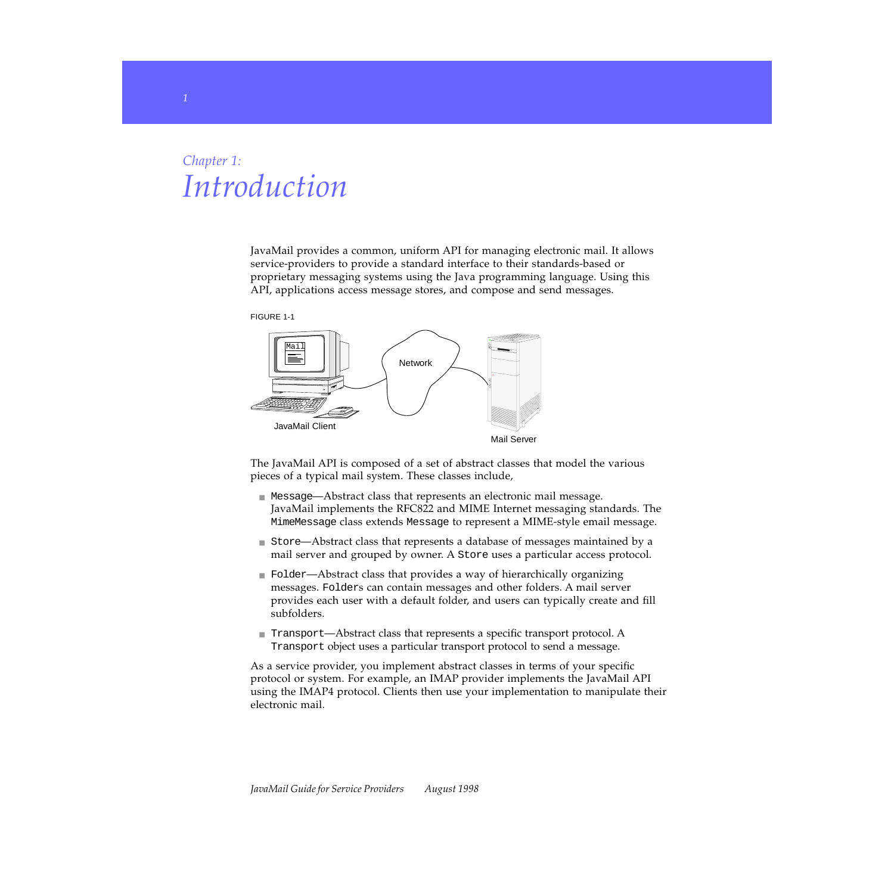# <span id="page-4-0"></span>*Chapter 1: Introduction*

JavaMail provides a common, uniform API for managing electronic mail. It allows service-providers to provide a standard interface to their standards-based or proprietary messaging systems using the Java programming language. Using this API, applications access message stores, and compose and send messages.





The JavaMail API is composed of a set of abstract classes that model the various pieces of a typical mail system. These classes include,

- Message—Abstract class that represents an electronic mail message. JavaMail implements the RFC822 and MIME Internet messaging standards. The MimeMessage class extends Message to represent a MIME-style email message.
- Store—Abstract class that represents a database of messages maintained by a mail server and grouped by owner. A Store uses a particular access protocol.
- Folder—Abstract class that provides a way of hierarchically organizing messages. Folders can contain messages and other folders. A mail server provides each user with a default folder, and users can typically create and fill subfolders.
- Transport—Abstract class that represents a specific transport protocol. A Transport object uses a particular transport protocol to send a message.

As a service provider, you implement abstract classes in terms of your specific protocol or system. For example, an IMAP provider implements the JavaMail API using the IMAP4 protocol. Clients then use your implementation to manipulate their electronic mail.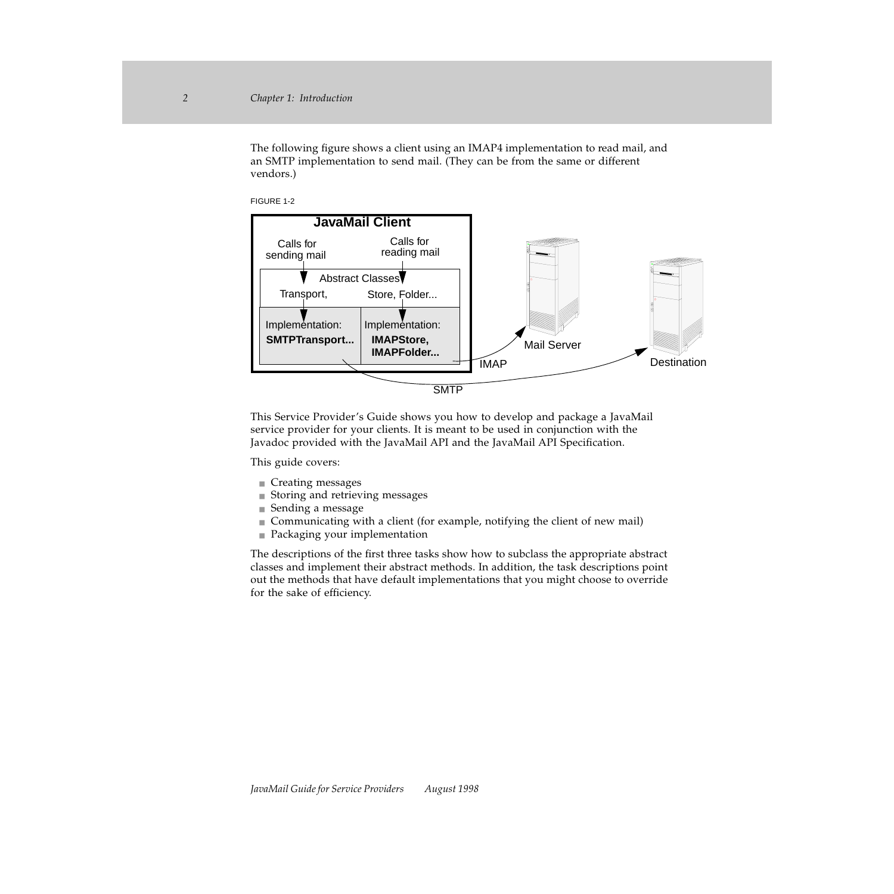The following figure shows a client using an IMAP4 implementation to read mail, and an SMTP implementation to send mail. (They can be from the same or different vendors.)





This Service Provider's Guide shows you how to develop and package a JavaMail service provider for your clients. It is meant to be used in conjunction with the Javadoc provided with the JavaMail API and the JavaMail API Specification.

This guide covers:

- Creating messages
- Storing and retrieving messages
- Sending a message
- Communicating with a client (for example, notifying the client of new mail)
- Packaging your implementation

The descriptions of the first three tasks show how to subclass the appropriate abstract classes and implement their abstract methods. In addition, the task descriptions point out the methods that have default implementations that you might choose to override for the sake of efficiency.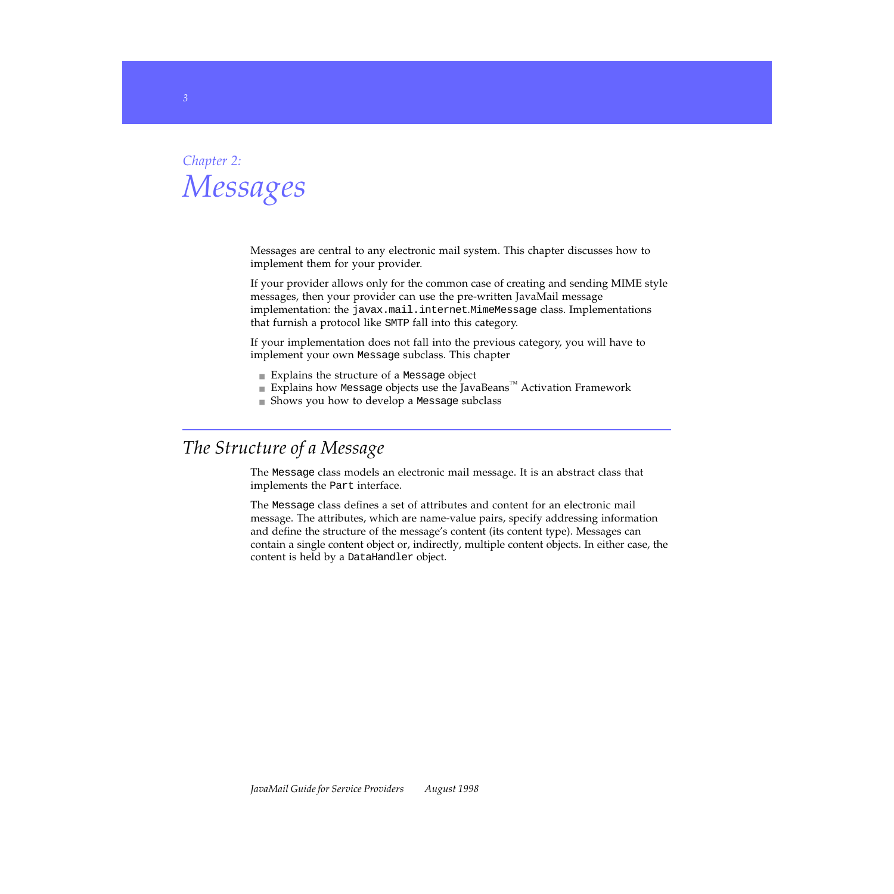<span id="page-6-0"></span>

Messages are central to any electronic mail system. This chapter discusses how to implement them for your provider.

If your provider allows only for the common case of creating and sending MIME style messages, then your provider can use the pre-written JavaMail message implementation: the javax.mail.internet.MimeMessage class. Implementations that furnish a protocol like SMTP fall into this category.

If your implementation does not fall into the previous category, you will have to implement your own Message subclass. This chapter

- Explains the structure of a Message object
- Explains how Message objects use the JavaBeans™ Activation Framework
- Shows you how to develop a Message subclass

# *The Structure of a Message*

The Message class models an electronic mail message. It is an abstract class that implements the Part interface.

The Message class defines a set of attributes and content for an electronic mail message. The attributes, which are name-value pairs, specify addressing information and define the structure of the message's content (its content type). Messages can contain a single content object or, indirectly, multiple content objects. In either case, the content is held by a DataHandler object.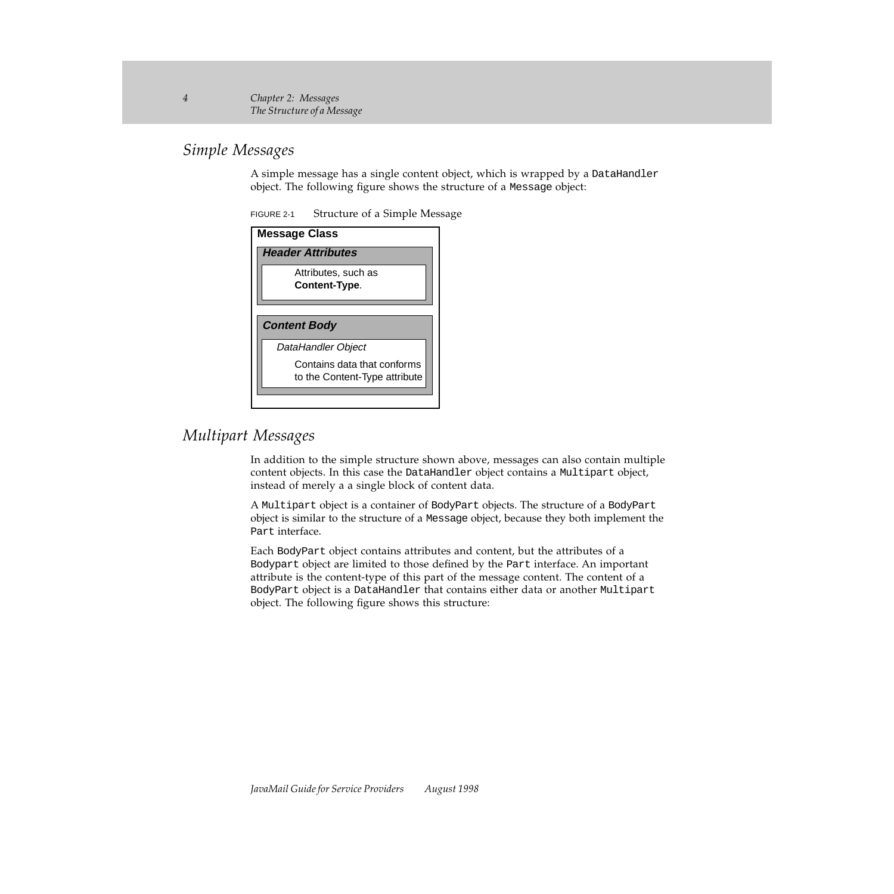### <span id="page-7-0"></span>*Simple Messages*

A simple message has a single content object, which is wrapped by a DataHandler object. The following figure shows the structure of a Message object:

| FIGURE 2-1 | Structure of a Simple Message |  |  |  |
|------------|-------------------------------|--|--|--|
|------------|-------------------------------|--|--|--|



# *Multipart Messages*

In addition to the simple structure shown above, messages can also contain multiple content objects. In this case the DataHandler object contains a Multipart object, instead of merely a a single block of content data.

A Multipart object is a container of BodyPart objects. The structure of a BodyPart object is similar to the structure of a Message object, because they both implement the Part interface.

Each BodyPart object contains attributes and content, but the attributes of a Bodypart object are limited to those defined by the Part interface. An important attribute is the content-type of this part of the message content. The content of a BodyPart object is a DataHandler that contains either data or another Multipart object. The following figure shows this structure: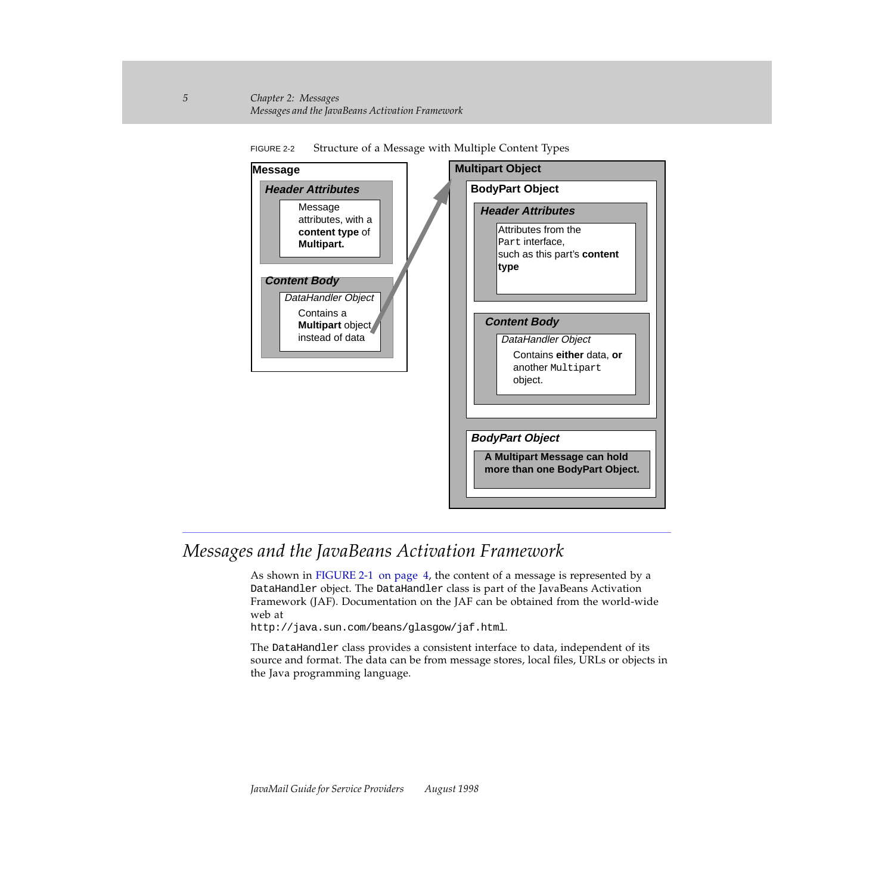

#### <span id="page-8-0"></span>FIGURE 2-2 Structure of a Message with Multiple Content Types

# *Messages and the JavaBeans Activation Framework*

As shown in [FIGURE 2-1 on page 4,](#page-7-0) the content of a message is represented by a DataHandler object. The DataHandler class is part of the JavaBeans Activation Framework (JAF). Documentation on the JAF can be obtained from the world-wide web at

http://java.sun.com/beans/glasgow/jaf.html.

The DataHandler class provides a consistent interface to data, independent of its source and format. The data can be from message stores, local files, URLs or objects in the Java programming language.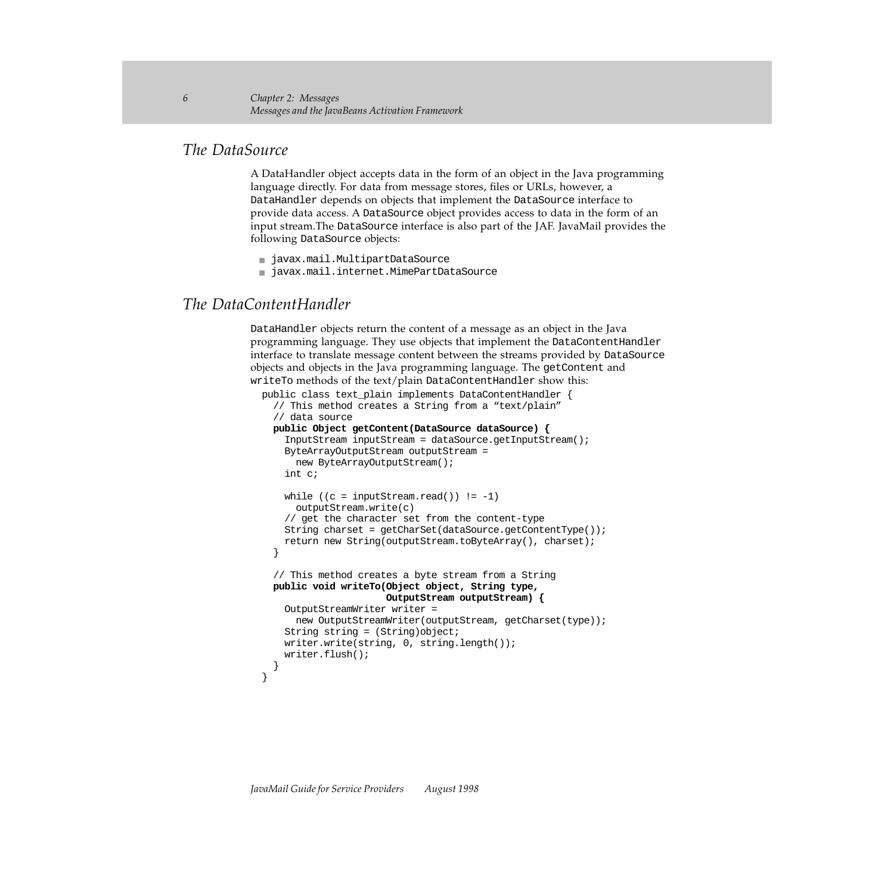#### <span id="page-9-0"></span>*The DataSource*

A DataHandler object accepts data in the form of an object in the Java programming language directly. For data from message stores, files or URLs, however, a DataHandler depends on objects that implement the DataSource interface to provide data access. A DataSource object provides access to data in the form of an input stream.The DataSource interface is also part of the JAF. JavaMail provides the following DataSource objects:

- javax.mail.MultipartDataSource
- javax.mail.internet.MimePartDataSource

#### *The DataContentHandler*

DataHandler objects return the content of a message as an object in the Java programming language. They use objects that implement the DataContentHandler interface to translate message content between the streams provided by DataSource objects and objects in the Java programming language. The getContent and writeTo methods of the text/plain DataContentHandler show this:

```
 public class text_plain implements DataContentHandler {
   // This method creates a String from a "text/plain"
   // data source
   public Object getContent(DataSource dataSource) {
     InputStream inputStream = dataSource.getInputStream();
     ByteArrayOutputStream outputStream =
      new ByteArrayOutputStream();
     int c;
    while ((c = inputStream.read()) != -1) outputStream.write(c)
     // get the character set from the content-type
     String charset = getCharSet(dataSource.getContentType());
     return new String(outputStream.toByteArray(), charset);
   }
   // This method creates a byte stream from a String
   public void writeTo(Object object, String type,
                       OutputStream outputStream) {
     OutputStreamWriter writer =
      new OutputStreamWriter(outputStream, getCharset(type));
     String string = (String)object;
     writer.write(string, 0, string.length());
     writer.flush();
   }
 }
```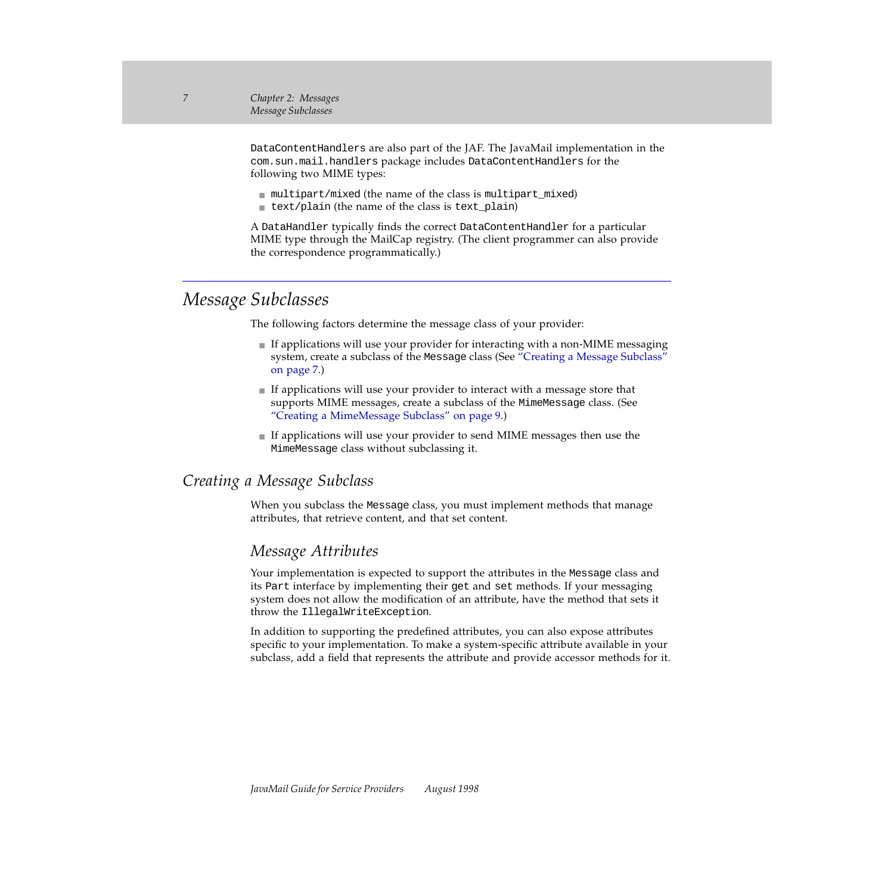<span id="page-10-0"></span>DataContentHandlers are also part of the JAF. The JavaMail implementation in the com.sun.mail.handlers package includes DataContentHandlers for the following two MIME types:

- multipart/mixed (the name of the class is multipart\_mixed)
- text/plain (the name of the class is text\_plain)

A DataHandler typically finds the correct DataContentHandler for a particular MIME type through the MailCap registry. (The client programmer can also provide the correspondence programmatically.)

# *Message Subclasses*

The following factors determine the message class of your provider:

- If applications will use your provider for interacting with a non-MIME messaging system, create a subclass of the Message class (See "Creating a Message Subclass" on page 7.)
- If applications will use your provider to interact with a message store that supports MIME messages, create a subclass of the MimeMessage class. [\(See](#page-12-0)  ["Creating a MimeMessage Subclass" on page 9.\)](#page-12-0)
- If applications will use your provider to send MIME messages then use the MimeMessage class without subclassing it.

## *Creating a Message Subclass*

When you subclass the Message class, you must implement methods that manage attributes, that retrieve content, and that set content.

# *Message Attributes*

Your implementation is expected to support the attributes in the Message class and its Part interface by implementing their get and set methods. If your messaging system does not allow the modification of an attribute, have the method that sets it throw the IllegalWriteException.

In addition to supporting the predefined attributes, you can also expose attributes specific to your implementation. To make a system-specific attribute available in your subclass, add a field that represents the attribute and provide accessor methods for it.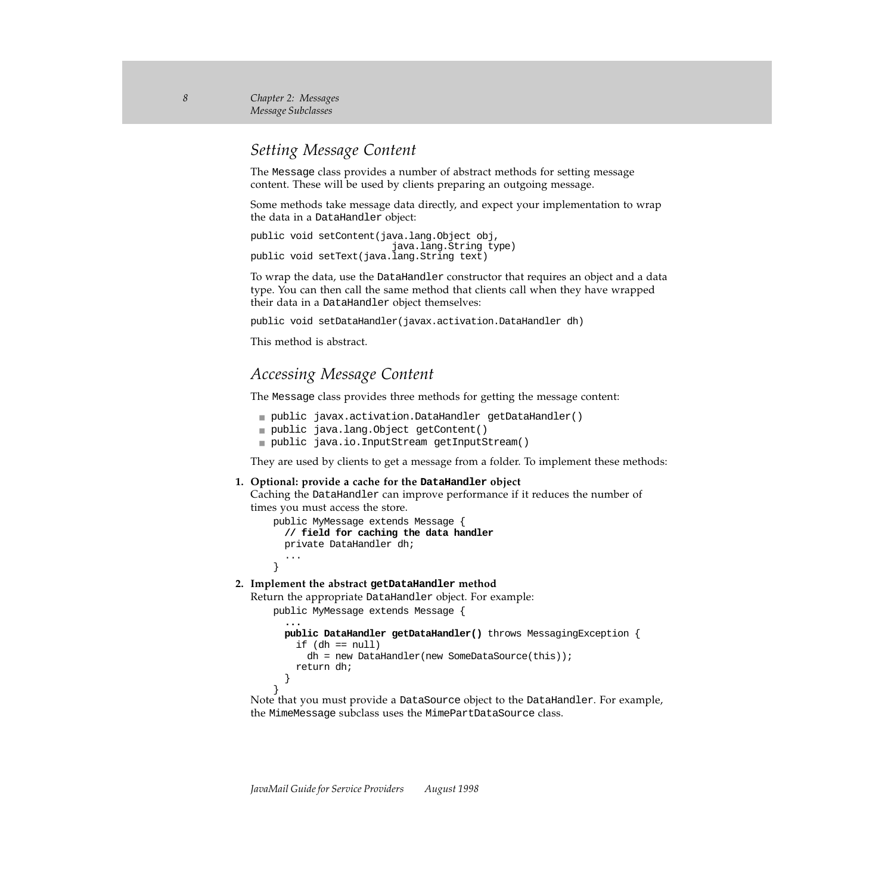<span id="page-11-0"></span>*8 Chapter 2: Messages Message Subclasses*

### *Setting Message Content*

The Message class provides a number of abstract methods for setting message content. These will be used by clients preparing an outgoing message.

Some methods take message data directly, and expect your implementation to wrap the data in a DataHandler object:

```
public void setContent(java.lang.Object obj,
                           java.lang.String type) 
public void setText(java.lang.String text)
```
To wrap the data, use the DataHandler constructor that requires an object and a data type. You can then call the same method that clients call when they have wrapped their data in a DataHandler object themselves:

public void setDataHandler(javax.activation.DataHandler dh)

This method is abstract.

### *Accessing Message Content*

The Message class provides three methods for getting the message content:

- public javax.activation.DataHandler getDataHandler()
- public java.lang.Object getContent()
- public java.io.InputStream getInputStream()

They are used by clients to get a message from a folder. To implement these methods:

#### **1. Optional: provide a cache for the DataHandler object**

Caching the DataHandler can improve performance if it reduces the number of times you must access the store.

```
 public MyMessage extends Message {
       // field for caching the data handler
      private DataHandler dh;
 ...
     }
```
#### **2. Implement the abstract getDataHandler method**

Return the appropriate DataHandler object. For example:

```
 public MyMessage extends Message {
 ...
      public DataHandler getDataHandler() throws MessagingException {
       if (dh == null) dh = new DataHandler(new SomeDataSource(this));
        return dh;
 }
 }
```
Note that you must provide a DataSource object to the DataHandler. For example, the MimeMessage subclass uses the MimePartDataSource class.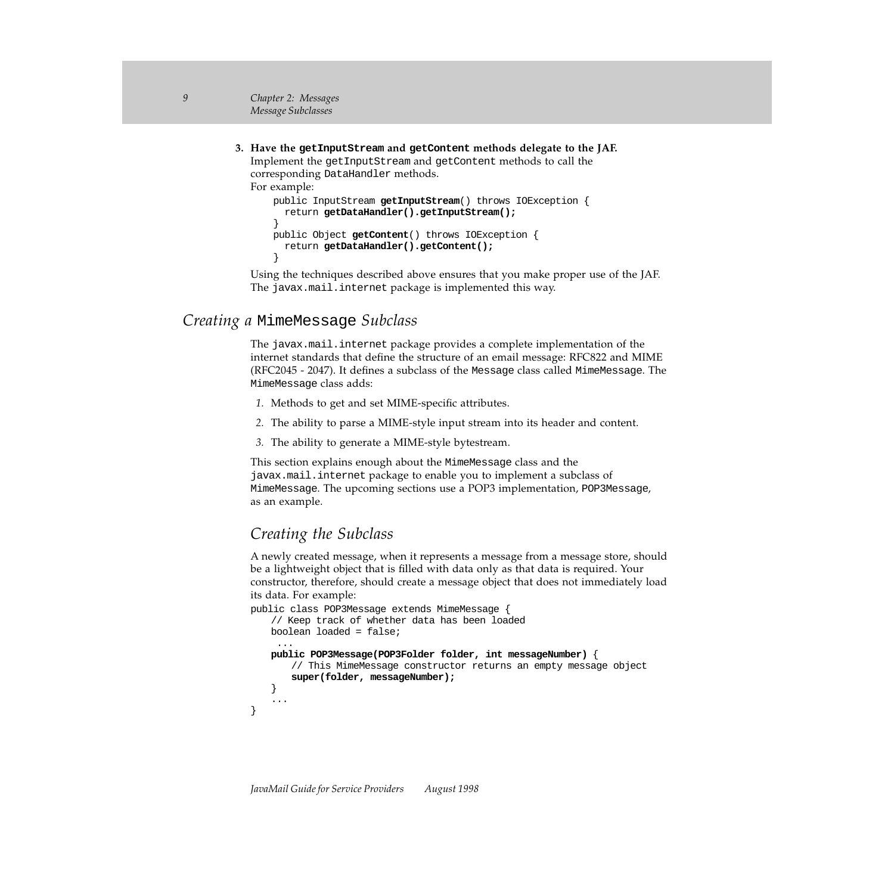<span id="page-12-0"></span>**3. Have the getInputStream and getContent methods delegate to the JAF.** Implement the getInputStream and getContent methods to call the corresponding DataHandler methods.

For example:

```
 public InputStream getInputStream() throws IOException {
      return getDataHandler().getInputStream();
 }
    public Object getContent() throws IOException {
      return getDataHandler().getContent();
     }
```
Using the techniques described above ensures that you make proper use of the JAF. The javax.mail.internet package is implemented this way.

#### *Creating a* MimeMessage *Subclass*

The javax.mail.internet package provides a complete implementation of the internet standards that define the structure of an email message: RFC822 and MIME (RFC2045 - 2047). It defines a subclass of the Message class called MimeMessage. The MimeMessage class adds:

- *1.* Methods to get and set MIME-specific attributes.
- *2.* The ability to parse a MIME-style input stream into its header and content.
- *3.* The ability to generate a MIME-style bytestream.

This section explains enough about the MimeMessage class and the javax.mail.internet package to enable you to implement a subclass of MimeMessage. The upcoming sections use a POP3 implementation, POP3Message, as an example.

# *Creating the Subclass*

A newly created message, when it represents a message from a message store, should be a lightweight object that is filled with data only as that data is required. Your constructor, therefore, should create a message object that does not immediately load its data. For example:

```
public class POP3Message extends MimeMessage {
   // Keep track of whether data has been loaded
   boolean loaded = false;
     ...
   public POP3Message(POP3Folder folder, int messageNumber) {
       // This MimeMessage constructor returns an empty message object
       super(folder, messageNumber);
   }
   ...
}
```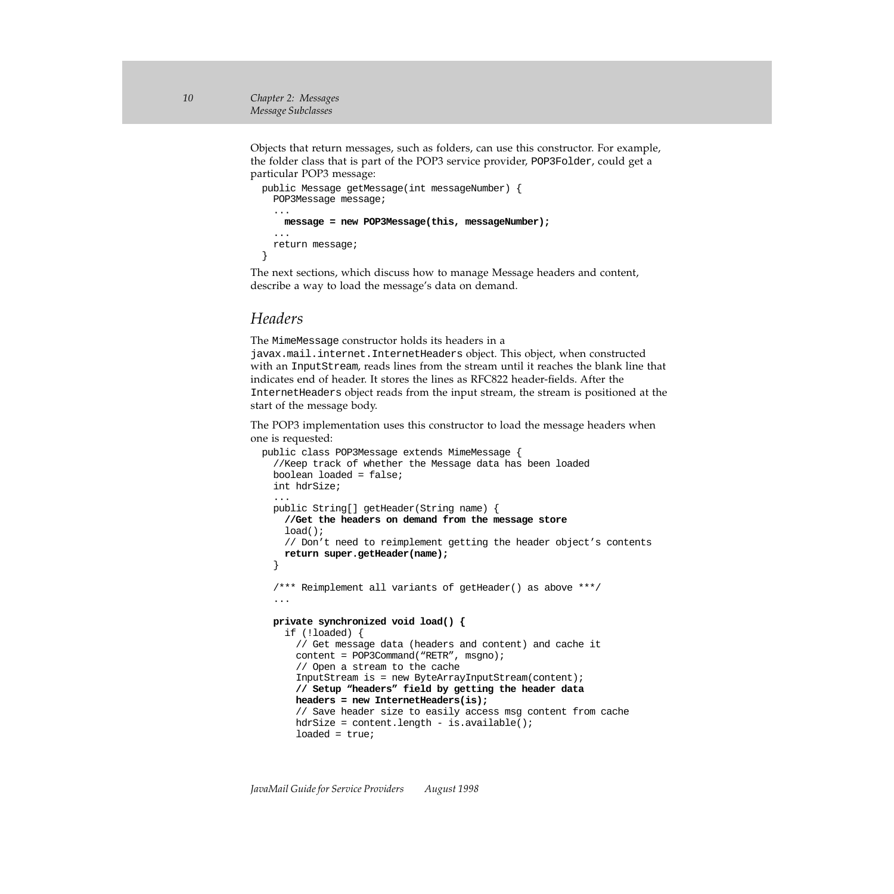<span id="page-13-0"></span>Objects that return messages, such as folders, can use this constructor. For example, the folder class that is part of the POP3 service provider, POP3Folder, could get a particular POP3 message:

```
 public Message getMessage(int messageNumber) {
    POP3Message message;
 ...
      message = new POP3Message(this, messageNumber);
     ...
    return message;
   }
```
The next sections, which discuss how to manage Message headers and content, describe a way to load the message's data on demand.

#### *Headers*

The MimeMessage constructor holds its headers in a

javax.mail.internet.InternetHeaders object. This object, when constructed with an InputStream, reads lines from the stream until it reaches the blank line that indicates end of header. It stores the lines as RFC822 header-fields. After the InternetHeaders object reads from the input stream, the stream is positioned at the start of the message body.

The POP3 implementation uses this constructor to load the message headers when one is requested:

```
 public class POP3Message extends MimeMessage {
     //Keep track of whether the Message data has been loaded
    boolean loaded = false;
    int hdrSize;
 ...
    public String[] getHeader(String name) {
       //Get the headers on demand from the message store
     load();
      // Don't need to reimplement getting the header object's contents
      return super.getHeader(name);
 }
     /*** Reimplement all variants of getHeader() as above ***/
     ...
    private synchronized void load() {
      if (!loaded) {
        // Get message data (headers and content) and cache it
       content = POP3Command("RETR", msgno);
         // Open a stream to the cache
        InputStream is = new ByteArrayInputStream(content);
        // Setup "headers" field by getting the header data
        headers = new InternetHeaders(is);
         // Save header size to easily access msg content from cache
       hdrSize = content.length - is.available();
        loaded = true;
```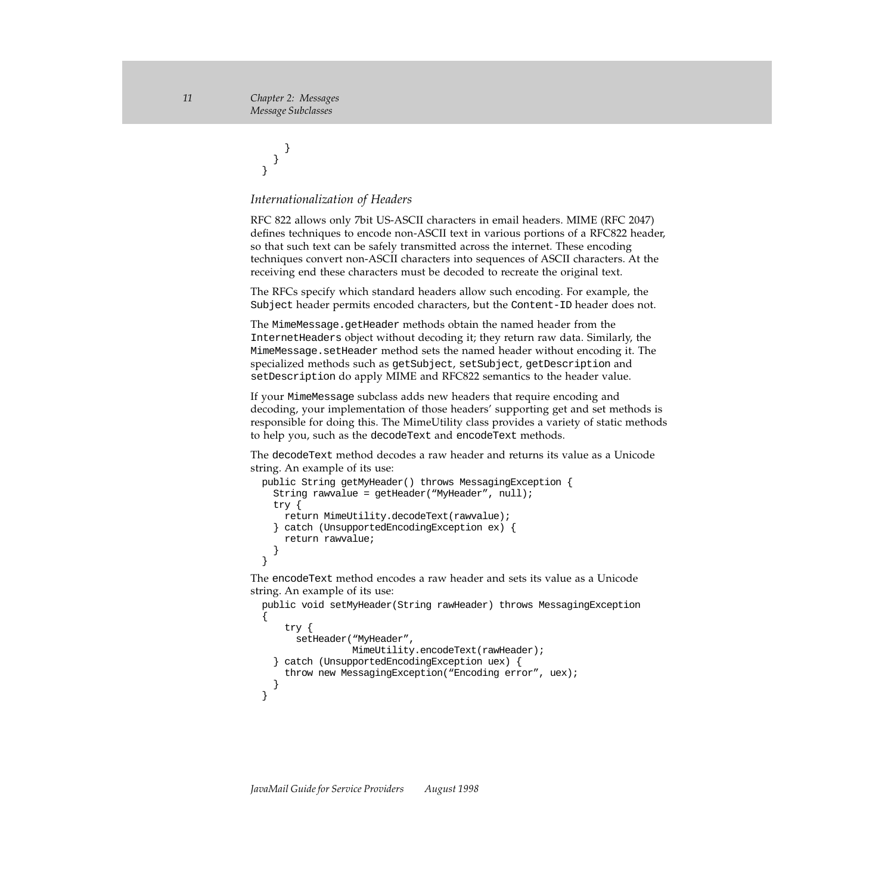```
 }
      }
 }
```
#### *Internationalization of Headers*

RFC 822 allows only 7bit US-ASCII characters in email headers. MIME (RFC 2047) defines techniques to encode non-ASCII text in various portions of a RFC822 header, so that such text can be safely transmitted across the internet. These encoding techniques convert non-ASCII characters into sequences of ASCII characters. At the receiving end these characters must be decoded to recreate the original text.

The RFCs specify which standard headers allow such encoding. For example, the Subject header permits encoded characters, but the Content-ID header does not.

The MimeMessage.getHeader methods obtain the named header from the InternetHeaders object without decoding it; they return raw data. Similarly, the MimeMessage.setHeader method sets the named header without encoding it. The specialized methods such as getSubject, setSubject, getDescription and setDescription do apply MIME and RFC822 semantics to the header value.

If your MimeMessage subclass adds new headers that require encoding and decoding, your implementation of those headers' supporting get and set methods is responsible for doing this. The MimeUtility class provides a variety of static methods to help you, such as the decodeText and encodeText methods.

The decodeText method decodes a raw header and returns its value as a Unicode string. An example of its use:

```
 public String getMyHeader() throws MessagingException {
    String rawvalue = getHeader("MyHeader", null);
    try {
      return MimeUtility.decodeText(rawvalue);
     } catch (UnsupportedEncodingException ex) {
      return rawvalue;
 }
 }
```
The encodeText method encodes a raw header and sets its value as a Unicode string. An example of its use:

```
 public void setMyHeader(String rawHeader) throws MessagingException
 {
       try {
         setHeader("MyHeader",
                   MimeUtility.encodeText(rawHeader);
     } catch (UnsupportedEncodingException uex) {
       throw new MessagingException("Encoding error", uex);
     }
   }
```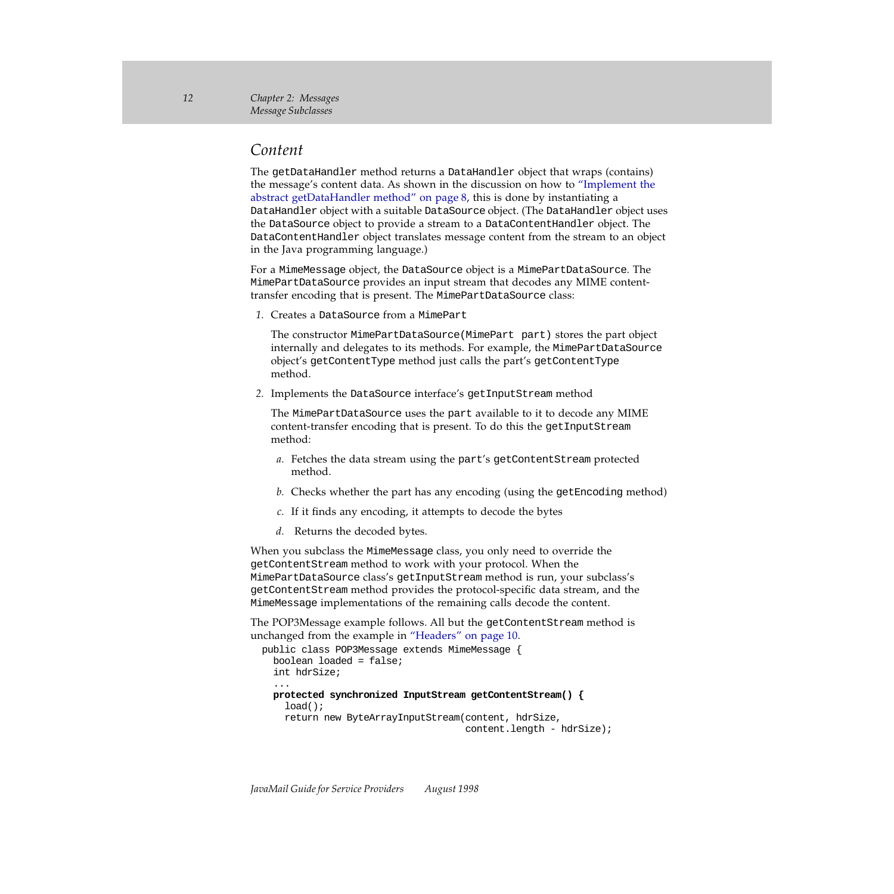# <span id="page-15-0"></span>*Content*

The getDataHandler method returns a DataHandler object that wraps (contains) the message's content data. As shown in the discussion on how to ["Implement the](#page-11-0)  [abstract getDataHandler method" on page 8](#page-11-0), this is done by instantiating a DataHandler object with a suitable DataSource object. (The DataHandler object uses the DataSource object to provide a stream to a DataContentHandler object. The DataContentHandler object translates message content from the stream to an object in the Java programming language.)

For a MimeMessage object, the DataSource object is a MimePartDataSource. The MimePartDataSource provides an input stream that decodes any MIME contenttransfer encoding that is present. The MimePartDataSource class:

*1.* Creates a DataSource from a MimePart

The constructor MimePartDataSource(MimePart part) stores the part object internally and delegates to its methods. For example, the MimePartDataSource object's getContentType method just calls the part's getContentType method.

*2.* Implements the DataSource interface's getInputStream method

The MimePartDataSource uses the part available to it to decode any MIME content-transfer encoding that is present. To do this the getInputStream method:

- *a.* Fetches the data stream using the part's getContentStream protected method.
- *b.* Checks whether the part has any encoding (using the getEncoding method)
- *c.* If it finds any encoding, it attempts to decode the bytes
- *d.* Returns the decoded bytes.

When you subclass the MimeMessage class, you only need to override the getContentStream method to work with your protocol. When the MimePartDataSource class's getInputStream method is run, your subclass's getContentStream method provides the protocol-specific data stream, and the MimeMessage implementations of the remaining calls decode the content.

The POP3Message example follows. All but the getContentStream method is unchanged from the example in ["Headers" on page 10.](#page-13-0)

```
 public class POP3Message extends MimeMessage {
    boolean loaded = false;
    int hdrSize;
 ...
    protected synchronized InputStream getContentStream() {
      load();
      return new ByteArrayInputStream(content, hdrSize,
                                        content.length - hdrSize);
```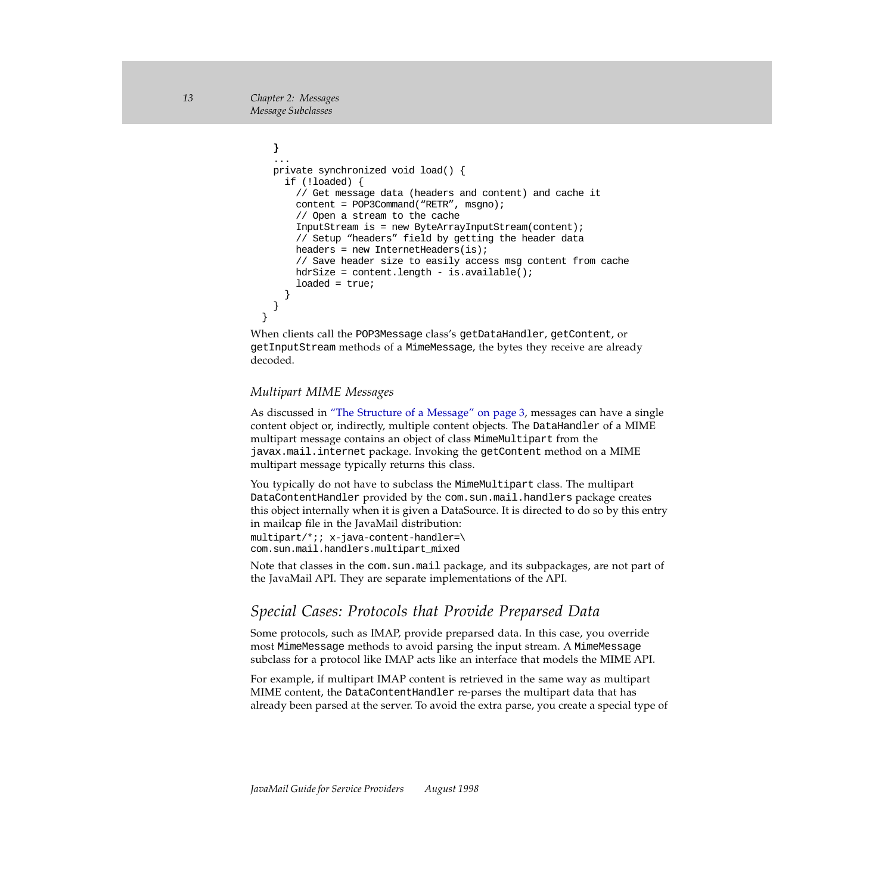```
 }
   ...
  private synchronized void load() {
    if (!loaded) {
       // Get message data (headers and content) and cache it
      content = POP3Command("RETR", msqno);
       // Open a stream to the cache
       InputStream is = new ByteArrayInputStream(content);
       // Setup "headers" field by getting the header data
      headers = new InternetHeaders(is);
       // Save header size to easily access msg content from cache
      hdrSize = content.length - is.available();
      loaded = true;
     }
   }
 }
```
When clients call the POP3Message class's getDataHandler, getContent, or getInputStream methods of a MimeMessage, the bytes they receive are already decoded.

#### *Multipart MIME Messages*

As discussed in ["The Structure of a Message" on page 3,](#page-6-0) messages can have a single content object or, indirectly, multiple content objects. The DataHandler of a MIME multipart message contains an object of class MimeMultipart from the javax.mail.internet package. Invoking the getContent method on a MIME multipart message typically returns this class.

You typically do not have to subclass the MimeMultipart class. The multipart DataContentHandler provided by the com.sun.mail.handlers package creates this object internally when it is given a DataSource. It is directed to do so by this entry in mailcap file in the JavaMail distribution:

```
multipart/*;; x-java-content-handler=\
com.sun.mail.handlers.multipart_mixed
```
Note that classes in the com.sun.mail package, and its subpackages, are not part of the JavaMail API. They are separate implementations of the API.

#### *Special Cases: Protocols that Provide Preparsed Data*

Some protocols, such as IMAP, provide preparsed data. In this case, you override most MimeMessage methods to avoid parsing the input stream. A MimeMessage subclass for a protocol like IMAP acts like an interface that models the MIME API.

For example, if multipart IMAP content is retrieved in the same way as multipart MIME content, the DataContentHandler re-parses the multipart data that has already been parsed at the server. To avoid the extra parse, you create a special type of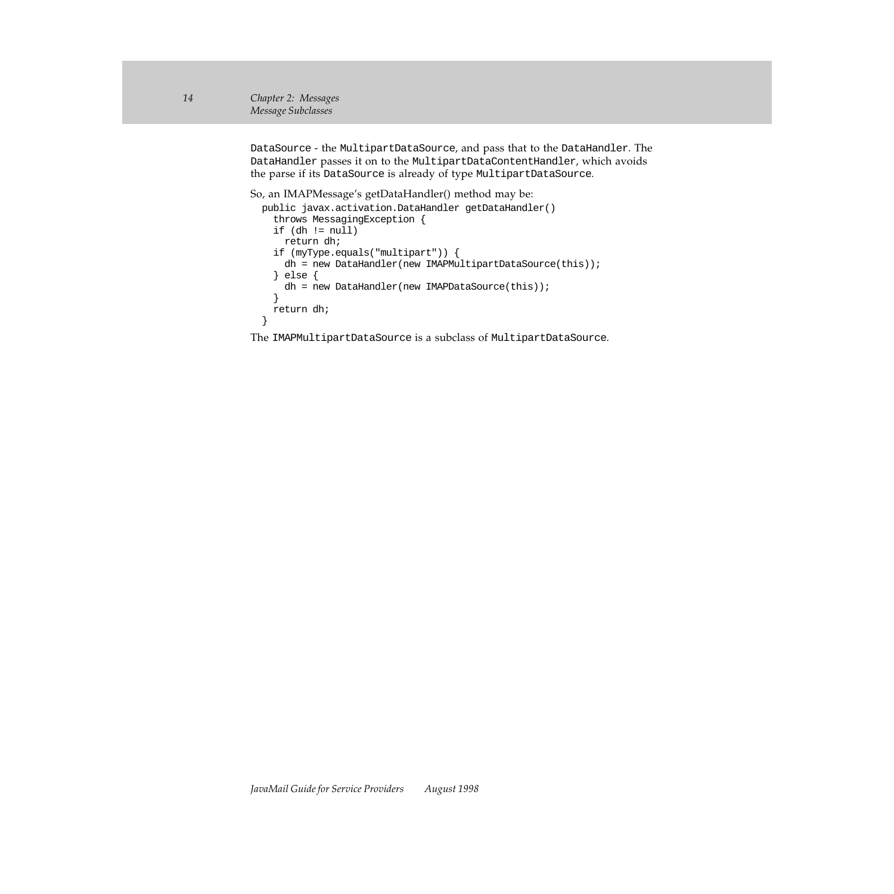DataSource - the MultipartDataSource, and pass that to the DataHandler. The DataHandler passes it on to the MultipartDataContentHandler, which avoids the parse if its DataSource is already of type MultipartDataSource.

So, an IMAPMessage's getDataHandler() method may be:

```
 public javax.activation.DataHandler getDataHandler()
    throws MessagingException {
   if (dh != null) return dh;
    if (myType.equals("multipart")) {
      dh = new DataHandler(new IMAPMultipartDataSource(this));
     } else {
      dh = new DataHandler(new IMAPDataSource(this));
     }
    return dh;
 }
```
The IMAPMultipartDataSource is a subclass of MultipartDataSource.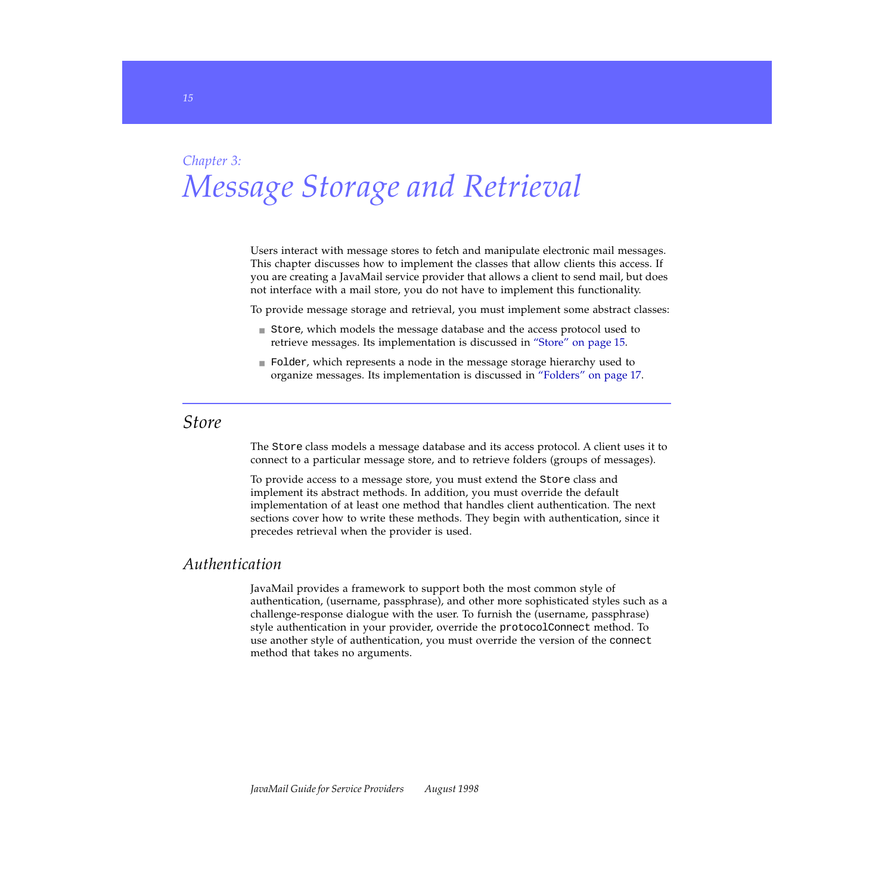# <span id="page-18-0"></span>*Chapter 3: Message Storage and Retrieval*

Users interact with message stores to fetch and manipulate electronic mail messages. This chapter discusses how to implement the classes that allow clients this access. If you are creating a JavaMail service provider that allows a client to send mail, but does not interface with a mail store, you do not have to implement this functionality.

To provide message storage and retrieval, you must implement some abstract classes:

- Store, which models the message database and the access protocol used to retrieve messages. Its implementation is discussed in "Store" on page 15.
- Folder, which represents a node in the message storage hierarchy used to organize messages. Its implementation is discussed in ["Folders" on page 17](#page-20-0).

# *Store*

The Store class models a message database and its access protocol. A client uses it to connect to a particular message store, and to retrieve folders (groups of messages).

To provide access to a message store, you must extend the Store class and implement its abstract methods. In addition, you must override the default implementation of at least one method that handles client authentication. The next sections cover how to write these methods. They begin with authentication, since it precedes retrieval when the provider is used.

#### *Authentication*

JavaMail provides a framework to support both the most common style of authentication, (username, passphrase), and other more sophisticated styles such as a challenge-response dialogue with the user. To furnish the (username, passphrase) style authentication in your provider, override the protocolConnect method. To use another style of authentication, you must override the version of the connect method that takes no arguments.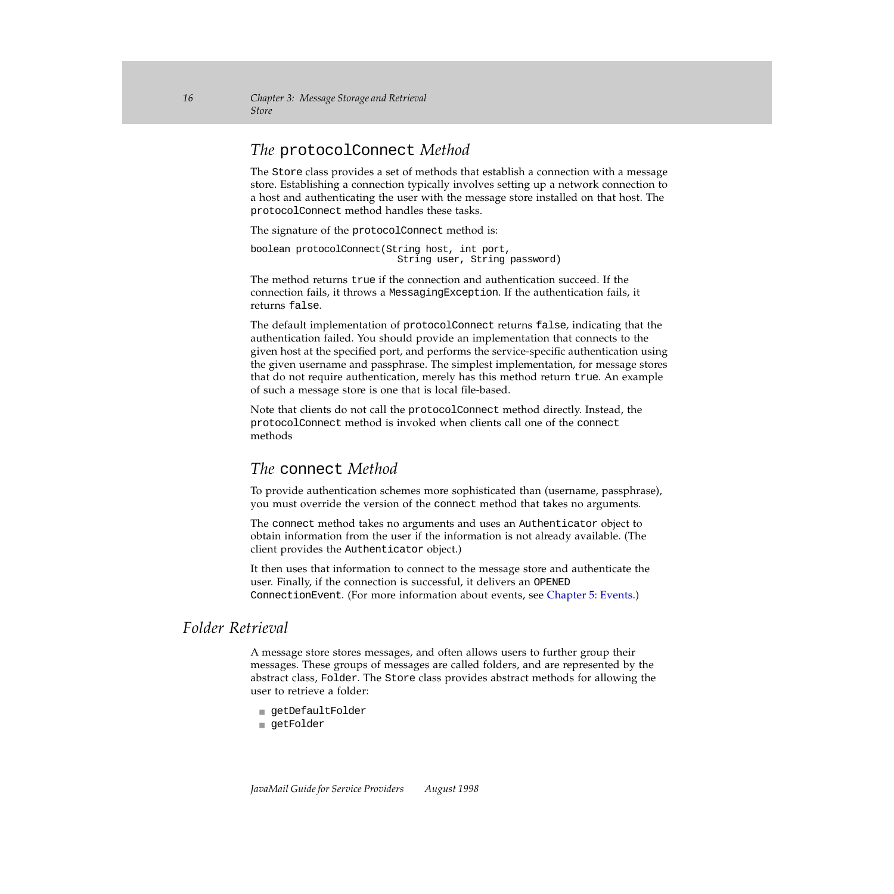### <span id="page-19-0"></span>*The* protocolConnect *Method*

The Store class provides a set of methods that establish a connection with a message store. Establishing a connection typically involves setting up a network connection to a host and authenticating the user with the message store installed on that host. The protocolConnect method handles these tasks.

The signature of the protocolConnect method is:

```
boolean protocolConnect(String host, int port,
                           String user, String password)
```
The method returns true if the connection and authentication succeed. If the connection fails, it throws a MessagingException. If the authentication fails, it returns false.

The default implementation of protocolConnect returns false, indicating that the authentication failed. You should provide an implementation that connects to the given host at the specified port, and performs the service-specific authentication using the given username and passphrase. The simplest implementation, for message stores that do not require authentication, merely has this method return true. An example of such a message store is one that is local file-based.

Note that clients do not call the protocolConnect method directly. Instead, the protocolConnect method is invoked when clients call one of the connect methods

#### *The* connect *Method*

To provide authentication schemes more sophisticated than (username, passphrase), you must override the version of the connect method that takes no arguments.

The connect method takes no arguments and uses an Authenticator object to obtain information from the user if the information is not already available. (The client provides the Authenticator object.)

It then uses that information to connect to the message store and authenticate the user. Finally, if the connection is successful, it delivers an OPENED ConnectionEvent. (For more information about events, see [Chapter 5: Events.](#page-32-0))

#### *Folder Retrieval*

A message store stores messages, and often allows users to further group their messages. These groups of messages are called folders, and are represented by the abstract class, Folder. The Store class provides abstract methods for allowing the user to retrieve a folder:

- getDefaultFolder
- getFolder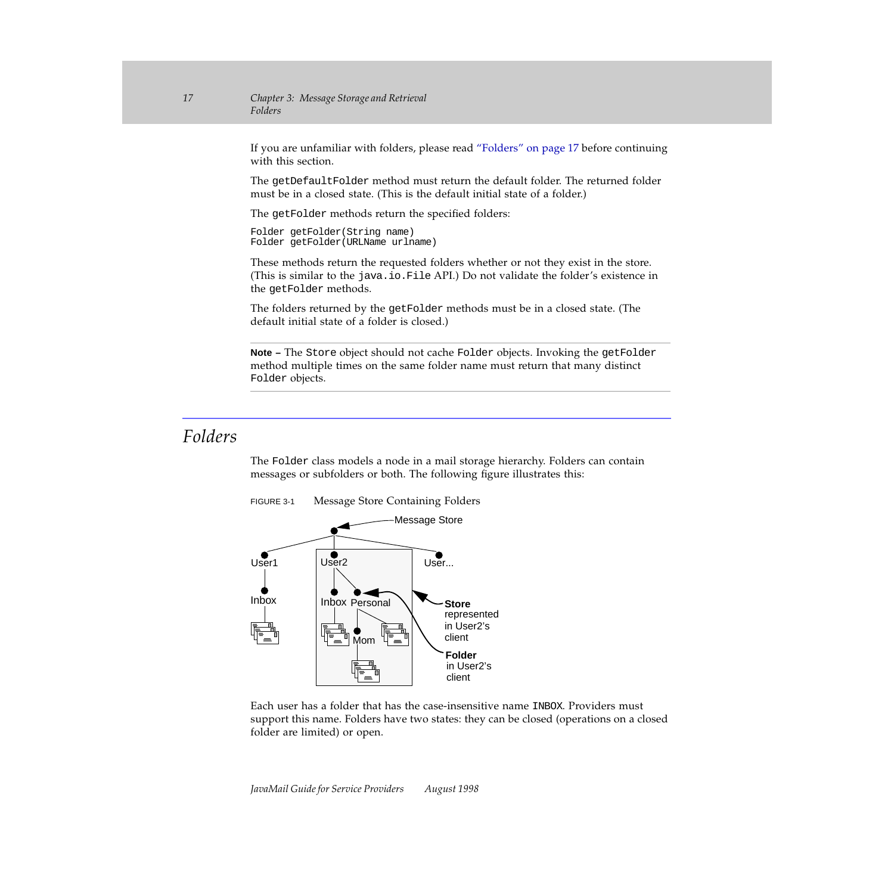<span id="page-20-0"></span>If you are unfamiliar with folders, please read "Folders" on page 17 before continuing with this section.

The getDefaultFolder method must return the default folder. The returned folder must be in a closed state. (This is the default initial state of a folder.)

The getFolder methods return the specified folders:

```
Folder getFolder(String name) 
Folder getFolder(URLName urlname)
```
These methods return the requested folders whether or not they exist in the store. (This is similar to the java.io.File API.) Do not validate the folder's existence in the getFolder methods.

The folders returned by the getFolder methods must be in a closed state. (The default initial state of a folder is closed.)

**Note –** The Store object should not cache Folder objects. Invoking the getFolder method multiple times on the same folder name must return that many distinct Folder objects.

# *Folders*

The Folder class models a node in a mail storage hierarchy. Folders can contain messages or subfolders or both. The following figure illustrates this:





Each user has a folder that has the case-insensitive name INBOX. Providers must support this name. Folders have two states: they can be closed (operations on a closed folder are limited) or open.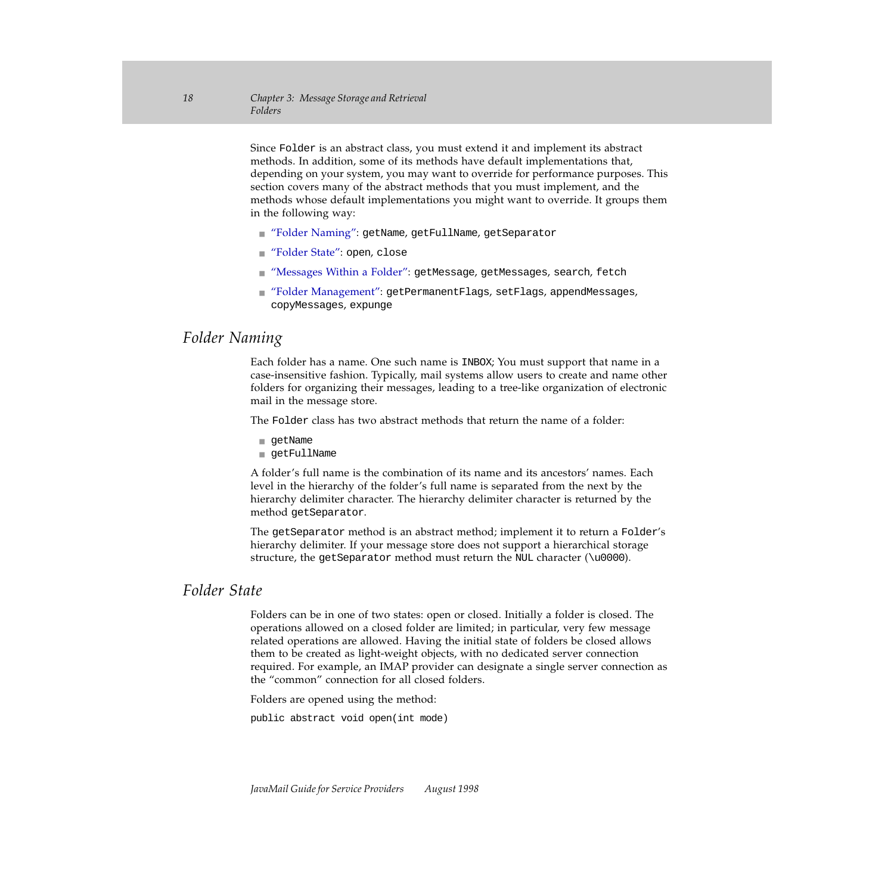<span id="page-21-0"></span>Since Folder is an abstract class, you must extend it and implement its abstract methods. In addition, some of its methods have default implementations that, depending on your system, you may want to override for performance purposes. This section covers many of the abstract methods that you must implement, and the methods whose default implementations you might want to override. It groups them in the following way:

- "Folder Naming": getName, getFullName, getSeparator
- "Folder State": open, close
- ["Messages Within a Folder"](#page-22-0): getMessage, getMessages, search, fetch
- ["Folder Management":](#page-26-0) getPermanentFlags, setFlags, appendMessages, copyMessages, expunge

#### *Folder Naming*

Each folder has a name. One such name is INBOX; You must support that name in a case-insensitive fashion. Typically, mail systems allow users to create and name other folders for organizing their messages, leading to a tree-like organization of electronic mail in the message store.

The Folder class has two abstract methods that return the name of a folder:

- getName
- getFullName

A folder's full name is the combination of its name and its ancestors' names. Each level in the hierarchy of the folder's full name is separated from the next by the hierarchy delimiter character. The hierarchy delimiter character is returned by the method getSeparator.

The getSeparator method is an abstract method; implement it to return a Folder's hierarchy delimiter. If your message store does not support a hierarchical storage structure, the getSeparator method must return the NUL character  $(\u0000)$ .

#### *Folder State*

Folders can be in one of two states: open or closed. Initially a folder is closed. The operations allowed on a closed folder are limited; in particular, very few message related operations are allowed. Having the initial state of folders be closed allows them to be created as light-weight objects, with no dedicated server connection required. For example, an IMAP provider can designate a single server connection as the "common" connection for all closed folders.

Folders are opened using the method:

public abstract void open(int mode)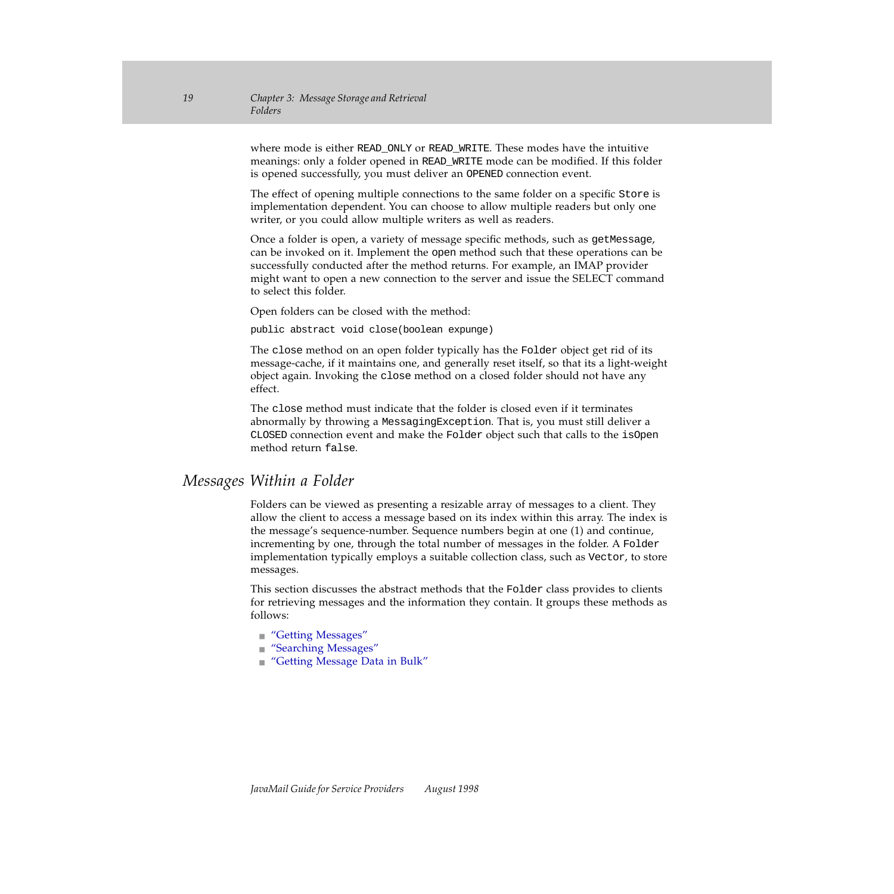<span id="page-22-0"></span>where mode is either READ\_ONLY or READ\_WRITE. These modes have the intuitive meanings: only a folder opened in READ\_WRITE mode can be modified. If this folder is opened successfully, you must deliver an OPENED connection event.

The effect of opening multiple connections to the same folder on a specific Store is implementation dependent. You can choose to allow multiple readers but only one writer, or you could allow multiple writers as well as readers.

Once a folder is open, a variety of message specific methods, such as getMessage, can be invoked on it. Implement the open method such that these operations can be successfully conducted after the method returns. For example, an IMAP provider might want to open a new connection to the server and issue the SELECT command to select this folder.

Open folders can be closed with the method:

public abstract void close(boolean expunge)

The close method on an open folder typically has the Folder object get rid of its message-cache, if it maintains one, and generally reset itself, so that its a light-weight object again. Invoking the close method on a closed folder should not have any effect.

The close method must indicate that the folder is closed even if it terminates abnormally by throwing a MessagingException. That is, you must still deliver a CLOSED connection event and make the Folder object such that calls to the isOpen method return false.

#### *Messages Within a Folder*

Folders can be viewed as presenting a resizable array of messages to a client. They allow the client to access a message based on its index within this array. The index is the message's sequence-number. Sequence numbers begin at one (1) and continue, incrementing by one, through the total number of messages in the folder. A Folder implementation typically employs a suitable collection class, such as Vector, to store messages.

This section discusses the abstract methods that the Folder class provides to clients for retrieving messages and the information they contain. It groups these methods as follows:

- ["Getting Messages"](#page-23-0)
- ["Searching Messages"](#page-24-0)
- ["Getting Message Data in Bulk"](#page-25-0)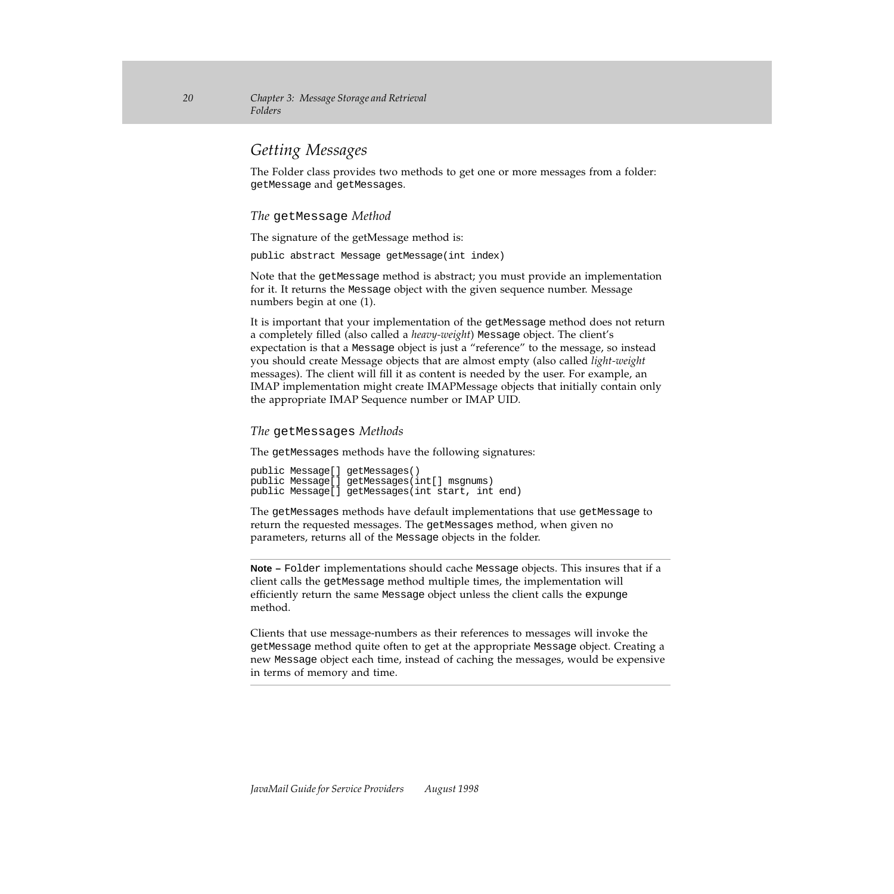### <span id="page-23-0"></span>*Getting Messages*

The Folder class provides two methods to get one or more messages from a folder: getMessage and getMessages.

*The* getMessage *Method*

The signature of the getMessage method is:

public abstract Message getMessage(int index)

Note that the getMessage method is abstract; you must provide an implementation for it. It returns the Message object with the given sequence number. Message numbers begin at one (1).

It is important that your implementation of the getMessage method does not return a completely filled (also called a *heavy-weight*) Message object. The client's expectation is that a Message object is just a "reference" to the message, so instead you should create Message objects that are almost empty (also called *light-weight*  messages). The client will fill it as content is needed by the user. For example, an IMAP implementation might create IMAPMessage objects that initially contain only the appropriate IMAP Sequence number or IMAP UID.

*The* getMessages *Methods*

The getMessages methods have the following signatures:

```
public Message[] getMessages() 
public Message[] getMessages(int[] msgnums) 
public Message[] getMessages(int start, int end)
```
The getMessages methods have default implementations that use getMessage to return the requested messages. The getMessages method, when given no parameters, returns all of the Message objects in the folder.

**Note –** Folder implementations should cache Message objects. This insures that if a client calls the getMessage method multiple times, the implementation will efficiently return the same Message object unless the client calls the expunge method.

Clients that use message-numbers as their references to messages will invoke the getMessage method quite often to get at the appropriate Message object. Creating a new Message object each time, instead of caching the messages, would be expensive in terms of memory and time.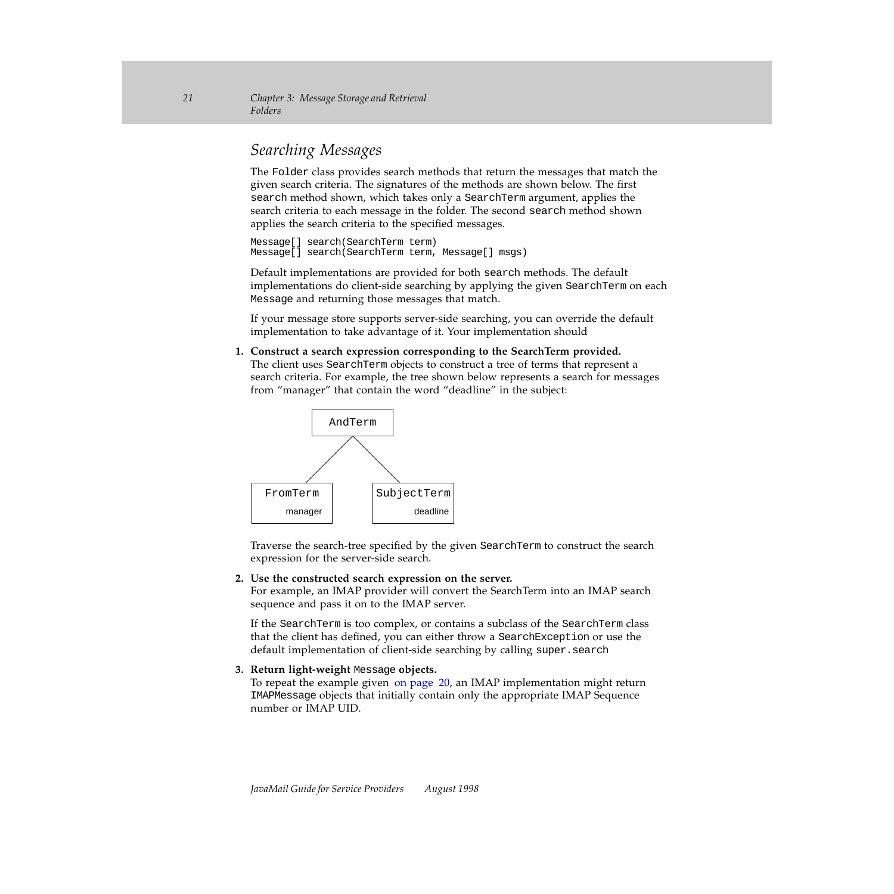# <span id="page-24-0"></span>*Searching Messages*

The Folder class provides search methods that return the messages that match the given search criteria. The signatures of the methods are shown below. The first search method shown, which takes only a SearchTerm argument, applies the search criteria to each message in the folder. The second search method shown applies the search criteria to the specified messages.

Message[] search(SearchTerm term) Message[] search(SearchTerm term, Message[] msgs)

Default implementations are provided for both search methods. The default implementations do client-side searching by applying the given SearchTerm on each Message and returning those messages that match.

If your message store supports server-side searching, you can override the default implementation to take advantage of it. Your implementation should

#### **1. Construct a search expression corresponding to the SearchTerm provided.**

The client uses SearchTerm objects to construct a tree of terms that represent a search criteria. For example, the tree shown below represents a search for messages from "manager" that contain the word "deadline" in the subject:



Traverse the search-tree specified by the given SearchTerm to construct the search expression for the server-side search.

#### **2. Use the constructed search expression on the server.**

For example, an IMAP provider will convert the SearchTerm into an IMAP search sequence and pass it on to the IMAP server.

If the SearchTerm is too complex, or contains a subclass of the SearchTerm class that the client has defined, you can either throw a SearchException or use the default implementation of client-side searching by calling super.search

#### **3. Return light-weight** Message **objects.**

To repeat the example given [on page 20](#page-23-0), an IMAP implementation might return IMAPMessage objects that initially contain only the appropriate IMAP Sequence number or IMAP UID.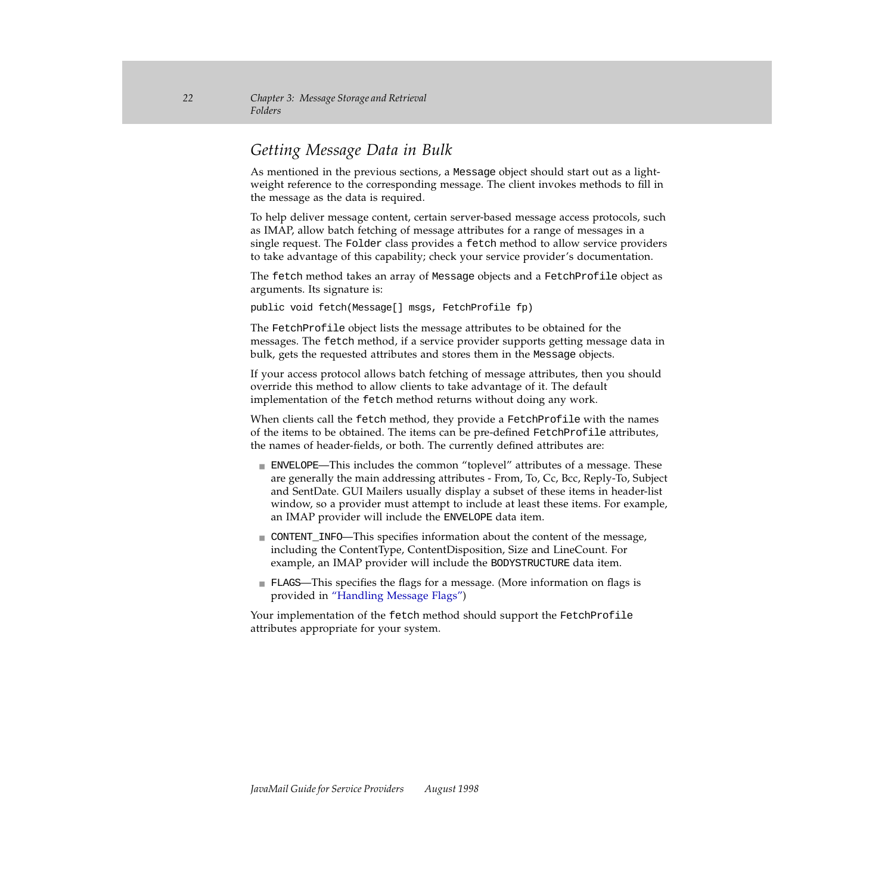# <span id="page-25-0"></span>*Getting Message Data in Bulk*

As mentioned in the previous sections, a Message object should start out as a lightweight reference to the corresponding message. The client invokes methods to fill in the message as the data is required.

To help deliver message content, certain server-based message access protocols, such as IMAP, allow batch fetching of message attributes for a range of messages in a single request. The Folder class provides a fetch method to allow service providers to take advantage of this capability; check your service provider's documentation.

The fetch method takes an array of Message objects and a FetchProfile object as arguments. Its signature is:

public void fetch(Message[] msgs, FetchProfile fp)

The FetchProfile object lists the message attributes to be obtained for the messages. The fetch method, if a service provider supports getting message data in bulk, gets the requested attributes and stores them in the Message objects.

If your access protocol allows batch fetching of message attributes, then you should override this method to allow clients to take advantage of it. The default implementation of the fetch method returns without doing any work.

When clients call the fetch method, they provide a FetchProfile with the names of the items to be obtained. The items can be pre-defined FetchProfile attributes, the names of header-fields, or both. The currently defined attributes are:

- ENVELOPE—This includes the common "toplevel" attributes of a message. These are generally the main addressing attributes - From, To, Cc, Bcc, Reply-To, Subject and SentDate. GUI Mailers usually display a subset of these items in header-list window, so a provider must attempt to include at least these items. For example, an IMAP provider will include the ENVELOPE data item.
- $\blacksquare$  CONTENT INFO—This specifies information about the content of the message, including the ContentType, ContentDisposition, Size and LineCount. For example, an IMAP provider will include the BODYSTRUCTURE data item.
- FLAGS—This specifies the flags for a message. (More information on flags is provided in ["Handling Message Flags"\)](#page-27-0)

Your implementation of the fetch method should support the FetchProfile attributes appropriate for your system.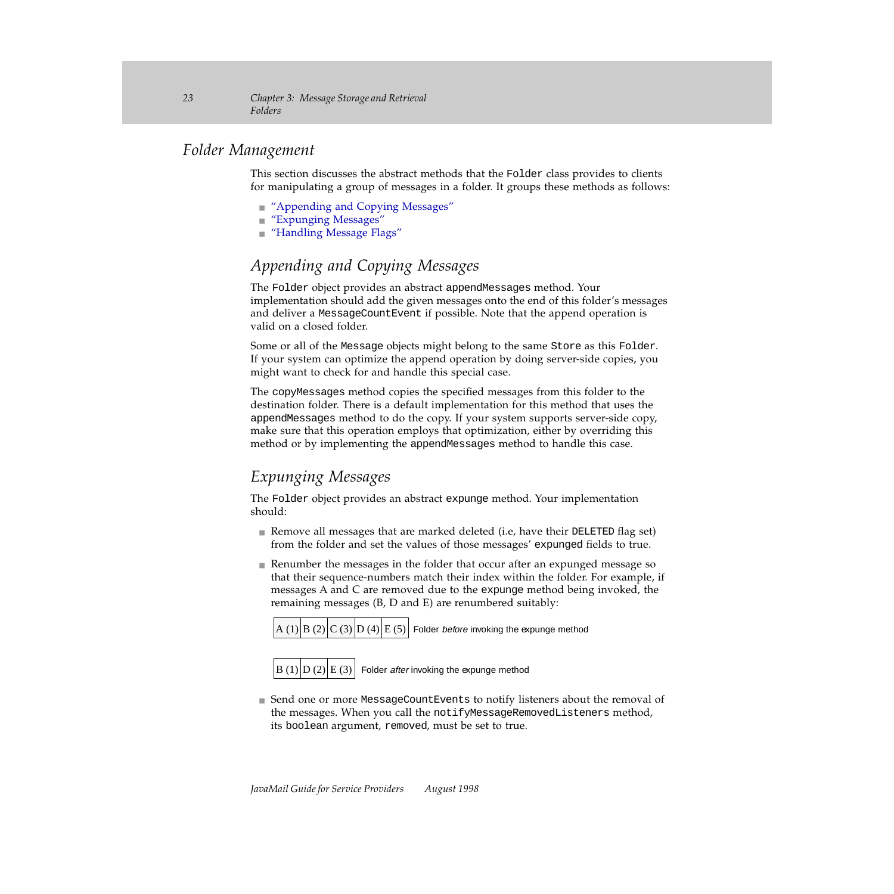#### <span id="page-26-0"></span>*Folder Management*

This section discusses the abstract methods that the Folder class provides to clients for manipulating a group of messages in a folder. It groups these methods as follows:

- "Appending and Copying Messages"
- "Expunging Messages"
- ["Handling Message Flags"](#page-27-0)

# *Appending and Copying Messages*

The Folder object provides an abstract appendMessages method. Your implementation should add the given messages onto the end of this folder's messages and deliver a MessageCountEvent if possible. Note that the append operation is valid on a closed folder.

Some or all of the Message objects might belong to the same Store as this Folder. If your system can optimize the append operation by doing server-side copies, you might want to check for and handle this special case.

The copyMessages method copies the specified messages from this folder to the destination folder. There is a default implementation for this method that uses the appendMessages method to do the copy. If your system supports server-side copy, make sure that this operation employs that optimization, either by overriding this method or by implementing the appendMessages method to handle this case.

# *Expunging Messages*

The Folder object provides an abstract expunge method. Your implementation should:

- Remove all messages that are marked deleted (i.e, have their DELETED flag set) from the folder and set the values of those messages' expunged fields to true.
- Renumber the messages in the folder that occur after an expunged message so that their sequence-numbers match their index within the folder. For example, if messages A and C are removed due to the expunge method being invoked, the remaining messages (B, D and E) are renumbered suitably:

```
A (1) |B (2) |C (3) |D (4) |E (5)| Folder before invoking the expunge method
```
 $B(1)$   $D(2)$   $E(3)$  Folder after invoking the expunge method

■ Send one or more MessageCountEvents to notify listeners about the removal of the messages. When you call the notifyMessageRemovedListeners method, its boolean argument, removed, must be set to true.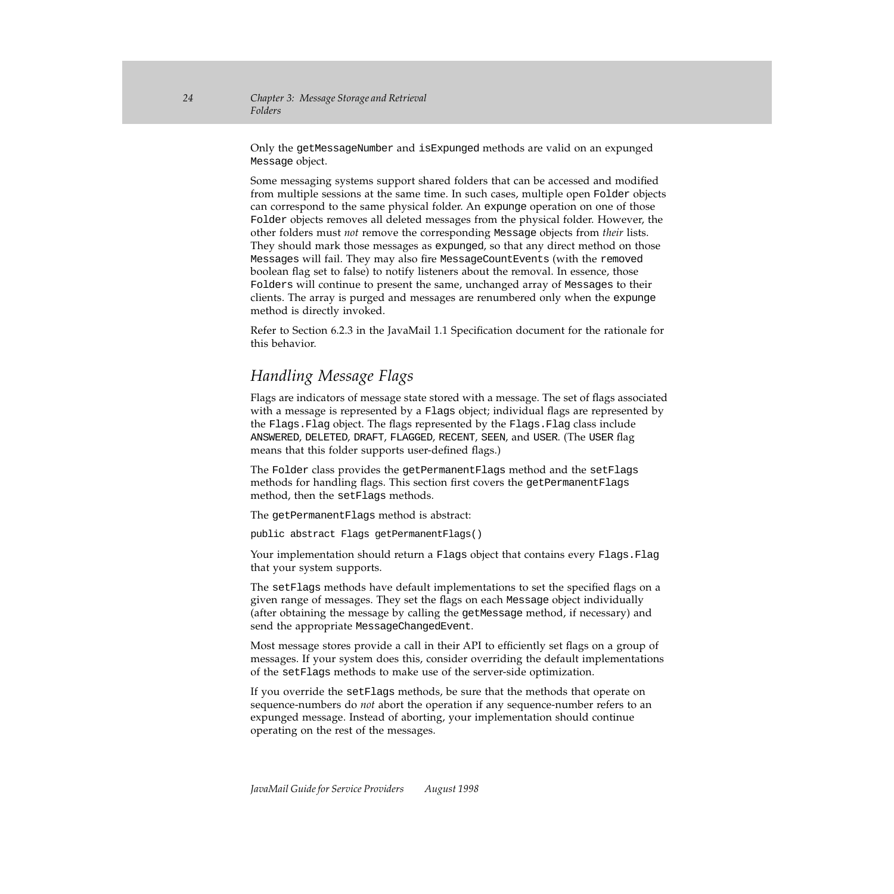<span id="page-27-0"></span>Only the getMessageNumber and isExpunged methods are valid on an expunged Message object.

Some messaging systems support shared folders that can be accessed and modified from multiple sessions at the same time. In such cases, multiple open Folder objects can correspond to the same physical folder. An expunge operation on one of those Folder objects removes all deleted messages from the physical folder. However, the other folders must *not* remove the corresponding Message objects from *their* lists. They should mark those messages as expunged, so that any direct method on those Messages will fail. They may also fire MessageCountEvents (with the removed boolean flag set to false) to notify listeners about the removal. In essence, those Folders will continue to present the same, unchanged array of Messages to their clients. The array is purged and messages are renumbered only when the expunge method is directly invoked.

Refer to Section 6.2.3 in the JavaMail 1.1 Specification document for the rationale for this behavior.

# *Handling Message Flags*

Flags are indicators of message state stored with a message. The set of flags associated with a message is represented by a Flags object; individual flags are represented by the Flags.Flag object. The flags represented by the Flags.Flag class include ANSWERED, DELETED, DRAFT, FLAGGED, RECENT, SEEN, and USER. (The USER flag means that this folder supports user-defined flags.)

The Folder class provides the getPermanentFlags method and the setFlags methods for handling flags. This section first covers the getPermanentFlags method, then the setFlags methods.

The getPermanentFlags method is abstract:

public abstract Flags getPermanentFlags()

Your implementation should return a Flags object that contains every Flags. Flag that your system supports.

The setFlags methods have default implementations to set the specified flags on a given range of messages. They set the flags on each Message object individually (after obtaining the message by calling the getMessage method, if necessary) and send the appropriate MessageChangedEvent.

Most message stores provide a call in their API to efficiently set flags on a group of messages. If your system does this, consider overriding the default implementations of the setFlags methods to make use of the server-side optimization.

If you override the setFlags methods, be sure that the methods that operate on sequence-numbers do *not* abort the operation if any sequence-number refers to an expunged message. Instead of aborting, your implementation should continue operating on the rest of the messages.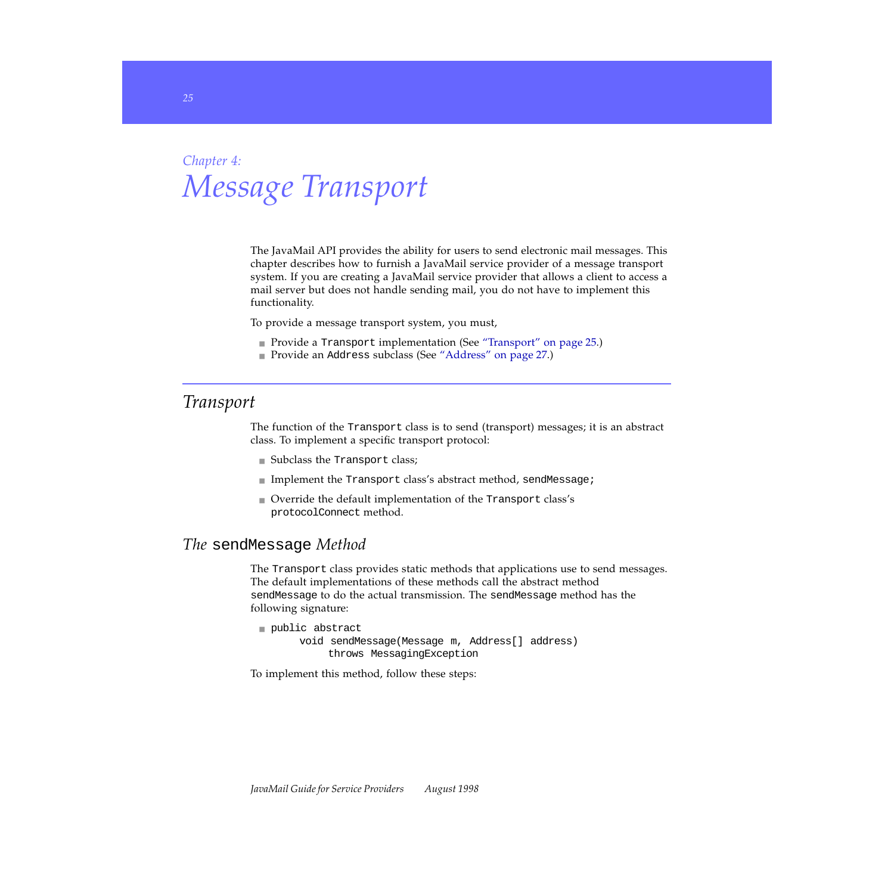# <span id="page-28-0"></span>*Chapter 4: Message Transport*

The JavaMail API provides the ability for users to send electronic mail messages. This chapter describes how to furnish a JavaMail service provider of a message transport system. If you are creating a JavaMail service provider that allows a client to access a mail server but does not handle sending mail, you do not have to implement this functionality.

To provide a message transport system, you must,

- Provide a Transport implementation (See "Transport" on page 25.)
- Provide an Address subclass [\(See "Address" on page 27.](#page-30-0))

# *Transport*

The function of the Transport class is to send (transport) messages; it is an abstract class. To implement a specific transport protocol:

- Subclass the Transport class;
- Implement the Transport class's abstract method, sendMessage;
- Override the default implementation of the Transport class's protocolConnect method.

#### *The* sendMessage *Method*

The Transport class provides static methods that applications use to send messages. The default implementations of these methods call the abstract method sendMessage to do the actual transmission. The sendMessage method has the following signature:

```
■ public abstract
        void sendMessage(Message m, Address[] address)
             throws MessagingException
```
To implement this method, follow these steps: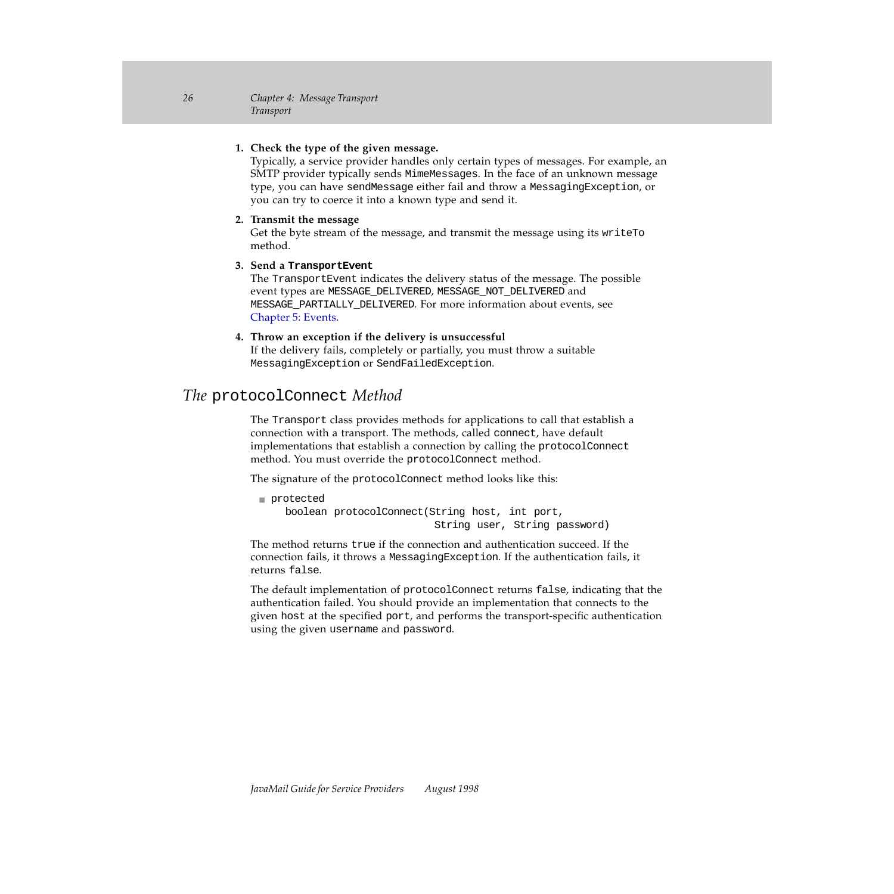#### <span id="page-29-0"></span>**1. Check the type of the given message.**

Typically, a service provider handles only certain types of messages. For example, an SMTP provider typically sends MimeMessages. In the face of an unknown message type, you can have sendMessage either fail and throw a MessagingException, or you can try to coerce it into a known type and send it.

#### **2. Transmit the message**

Get the byte stream of the message, and transmit the message using its writeTo method.

#### **3. Send a TransportEvent**

The TransportEvent indicates the delivery status of the message. The possible event types are MESSAGE\_DELIVERED, MESSAGE\_NOT\_DELIVERED and MESSAGE\_PARTIALLY\_DELIVERED. For more information about events, see [Chapter 5: Events.](#page-32-0)

#### **4. Throw an exception if the delivery is unsuccessful**

If the delivery fails, completely or partially, you must throw a suitable MessagingException or SendFailedException.

#### *The* protocolConnect *Method*

The Transport class provides methods for applications to call that establish a connection with a transport. The methods, called connect, have default implementations that establish a connection by calling the protocolConnect method. You must override the protocolConnect method.

The signature of the protocolConnect method looks like this:

```
■ protected
     boolean protocolConnect(String host, int port,
                               String user, String password)
```
The method returns true if the connection and authentication succeed. If the connection fails, it throws a MessagingException. If the authentication fails, it returns false.

The default implementation of protocolConnect returns false, indicating that the authentication failed. You should provide an implementation that connects to the given host at the specified port, and performs the transport-specific authentication using the given username and password.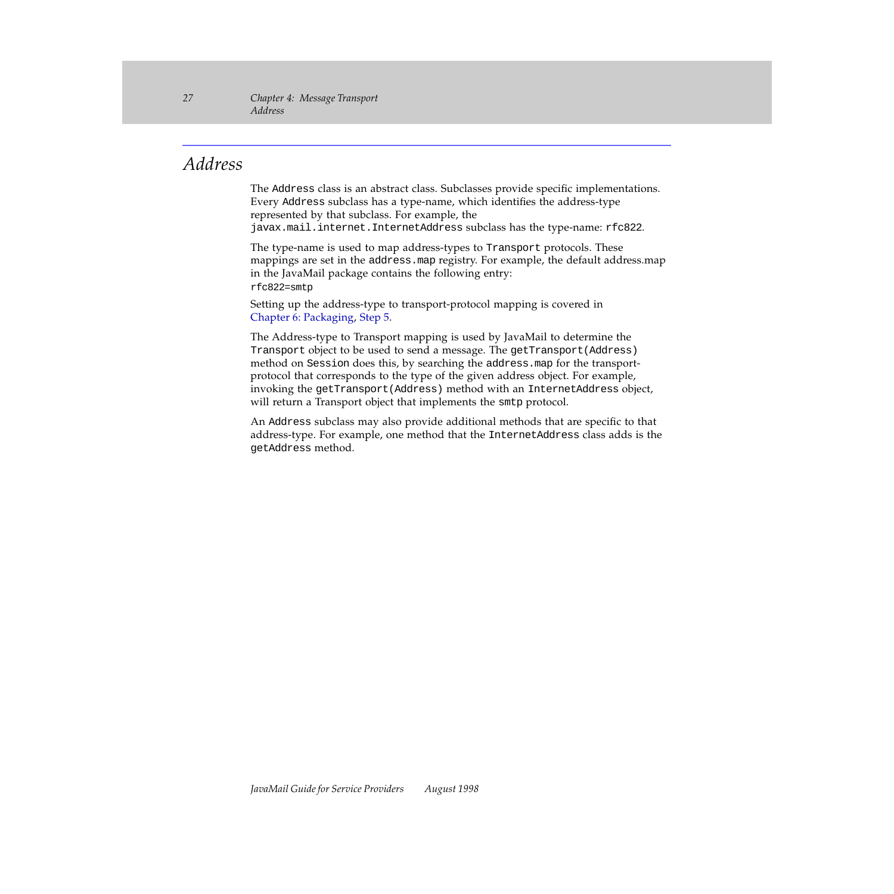# <span id="page-30-0"></span>*Address*

The Address class is an abstract class. Subclasses provide specific implementations. Every Address subclass has a type-name, which identifies the address-type represented by that subclass. For example, the javax.mail.internet.InternetAddress subclass has the type-name: rfc822.

The type-name is used to map address-types to Transport protocols. These mappings are set in the address.map registry. For example, the default address.map in the JavaMail package contains the following entry:

rfc822=smtp

Setting up the address-type to transport-protocol mapping is covered in [Chapter 6: Packaging](#page-34-0), [Step 5.](#page-35-0)

The Address-type to Transport mapping is used by JavaMail to determine the Transport object to be used to send a message. The getTransport(Address) method on Session does this, by searching the address.map for the transportprotocol that corresponds to the type of the given address object. For example, invoking the getTransport(Address) method with an InternetAddress object, will return a Transport object that implements the smtp protocol.

An Address subclass may also provide additional methods that are specific to that address-type. For example, one method that the InternetAddress class adds is the getAddress method.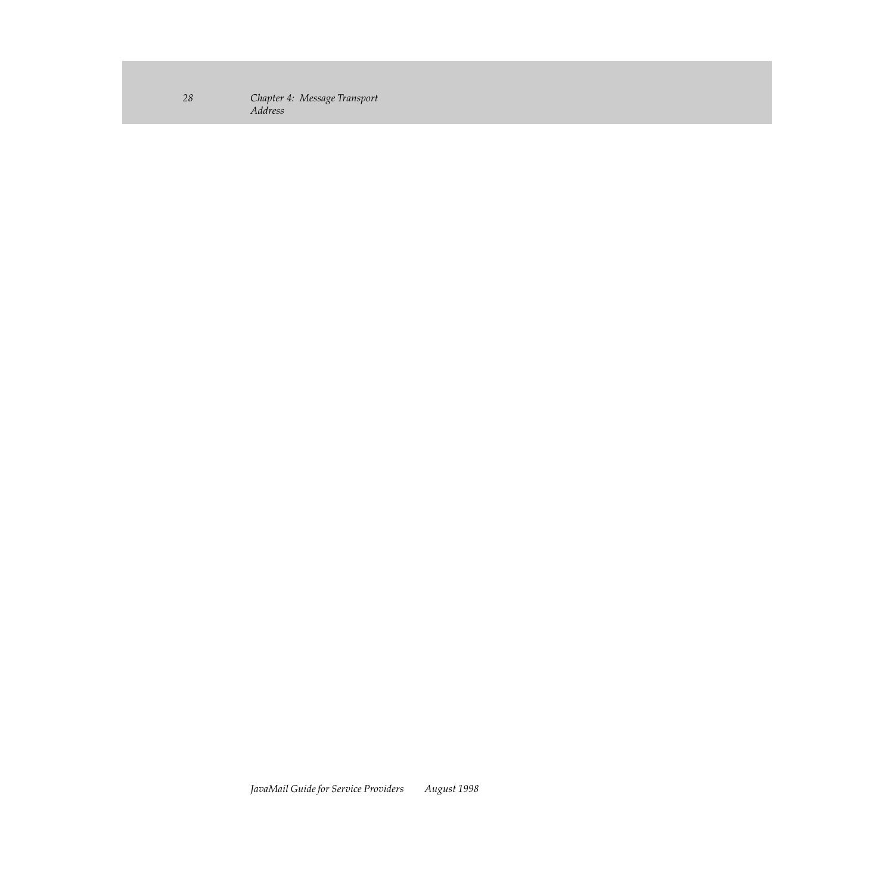*28 Chapter 4: Message Transport Address*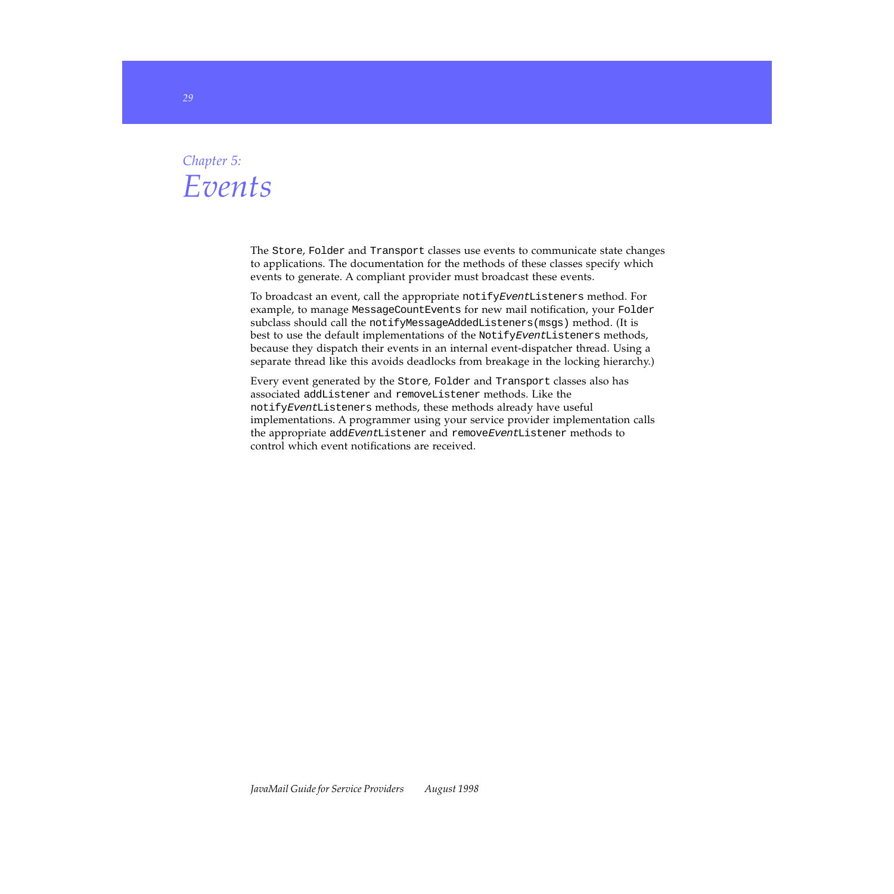# <span id="page-32-0"></span>*Chapter 5: Events*

The Store, Folder and Transport classes use events to communicate state changes to applications. The documentation for the methods of these classes specify which events to generate. A compliant provider must broadcast these events.

To broadcast an event, call the appropriate notifyEventListeners method. For example, to manage MessageCountEvents for new mail notification, your Folder subclass should call the notifyMessageAddedListeners(msgs) method. (It is best to use the default implementations of the NotifyEventListeners methods, because they dispatch their events in an internal event-dispatcher thread. Using a separate thread like this avoids deadlocks from breakage in the locking hierarchy.)

Every event generated by the Store, Folder and Transport classes also has associated addListener and removeListener methods. Like the notifyEventListeners methods, these methods already have useful implementations. A programmer using your service provider implementation calls the appropriate addEventListener and removeEventListener methods to control which event notifications are received.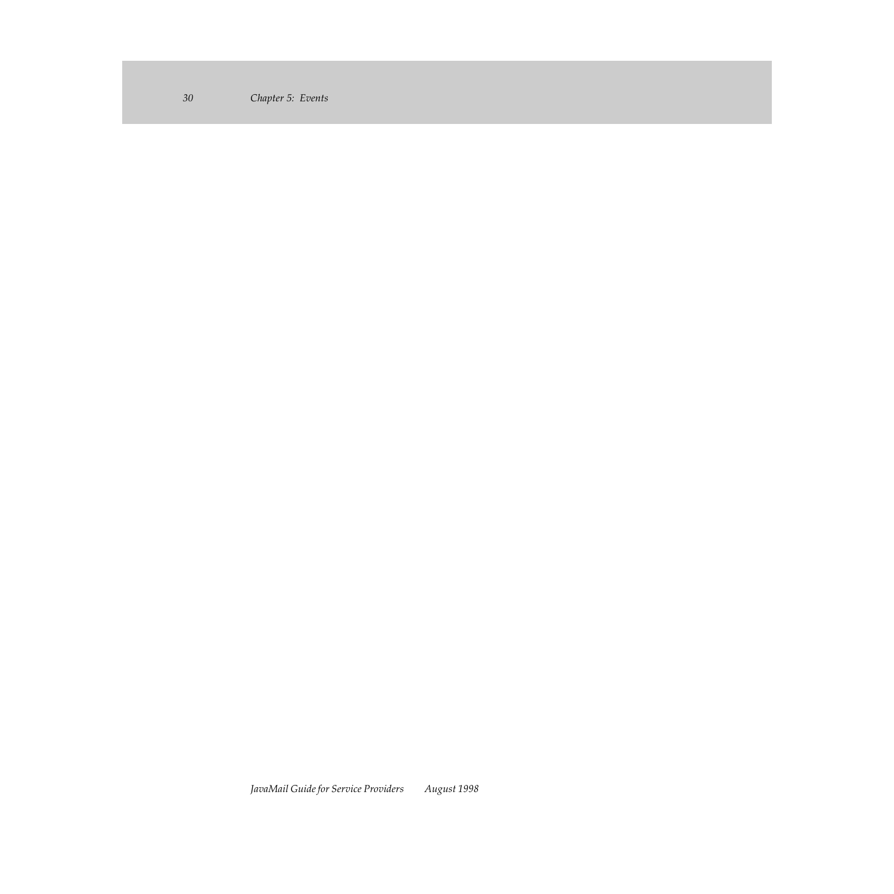*JavaMail Guide for Service Providers August 1998*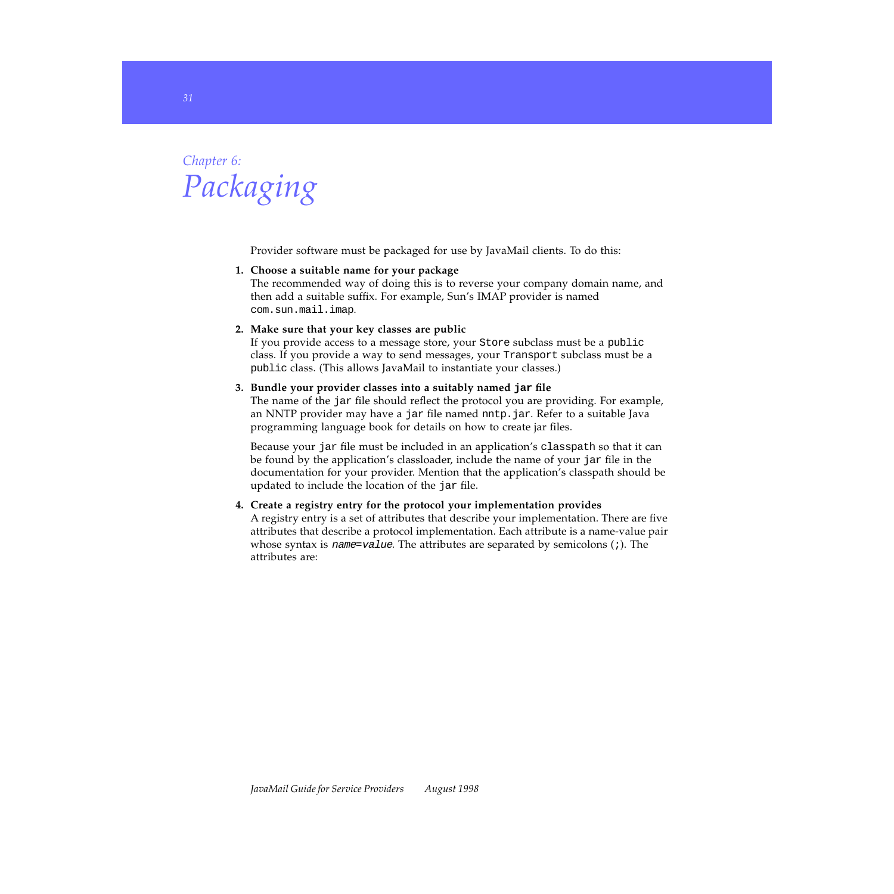<span id="page-34-0"></span>

Provider software must be packaged for use by JavaMail clients. To do this:

#### **1. Choose a suitable name for your package**

The recommended way of doing this is to reverse your company domain name, and then add a suitable suffix. For example, Sun's IMAP provider is named com.sun.mail.imap.

#### **2. Make sure that your key classes are public**

If you provide access to a message store, your Store subclass must be a public class. If you provide a way to send messages, your Transport subclass must be a public class. (This allows JavaMail to instantiate your classes.)

#### **3. Bundle your provider classes into a suitably named jar file**

The name of the jar file should reflect the protocol you are providing. For example, an NNTP provider may have a jar file named nntp.jar. Refer to a suitable Java programming language book for details on how to create jar files.

Because your jar file must be included in an application's classpath so that it can be found by the application's classloader, include the name of your jar file in the documentation for your provider. Mention that the application's classpath should be updated to include the location of the jar file.

#### **4. Create a registry entry for the protocol your implementation provides**

A registry entry is a set of attributes that describe your implementation. There are five attributes that describe a protocol implementation. Each attribute is a name-value pair whose syntax is name=value. The attributes are separated by semicolons  $(i)$ . The attributes are: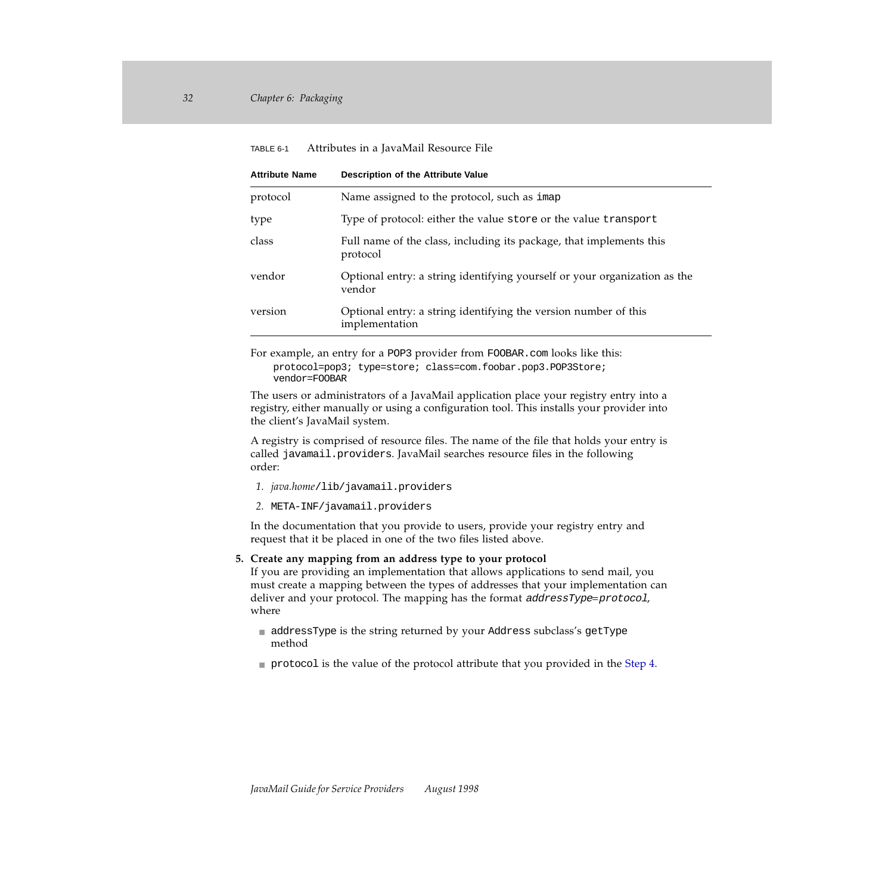| <b>Attribute Name</b> | Description of the Attribute Value                                                  |
|-----------------------|-------------------------------------------------------------------------------------|
| protocol              | Name assigned to the protocol, such as imap                                         |
| type                  | Type of protocol: either the value store or the value transport                     |
| class                 | Full name of the class, including its package, that implements this<br>protocol     |
| vendor                | Optional entry: a string identifying yourself or your organization as the<br>vendor |
| version               | Optional entry: a string identifying the version number of this<br>implementation   |

#### <span id="page-35-0"></span>TABLE 6-1 Attributes in a JavaMail Resource File

For example, an entry for a POP3 provider from FOOBAR.com looks like this:

 protocol=pop3; type=store; class=com.foobar.pop3.POP3Store; vendor=FOOBAR

The users or administrators of a JavaMail application place your registry entry into a registry, either manually or using a configuration tool. This installs your provider into the client's JavaMail system.

A registry is comprised of resource files. The name of the file that holds your entry is called javamail.providers. JavaMail searches resource files in the following order:

- *1. java.home*/lib/javamail.providers
- *2.* META-INF/javamail.providers

In the documentation that you provide to users, provide your registry entry and request that it be placed in one of the two files listed above.

#### **5. Create any mapping from an address type to your protocol**

If you are providing an implementation that allows applications to send mail, you must create a mapping between the types of addresses that your implementation can deliver and your protocol. The mapping has the format addressType=protocol, where

- addressType is the string returned by your Address subclass's getType method
- protocol is the value of the protocol attribute that you provided in the [Step 4.](#page-34-0)